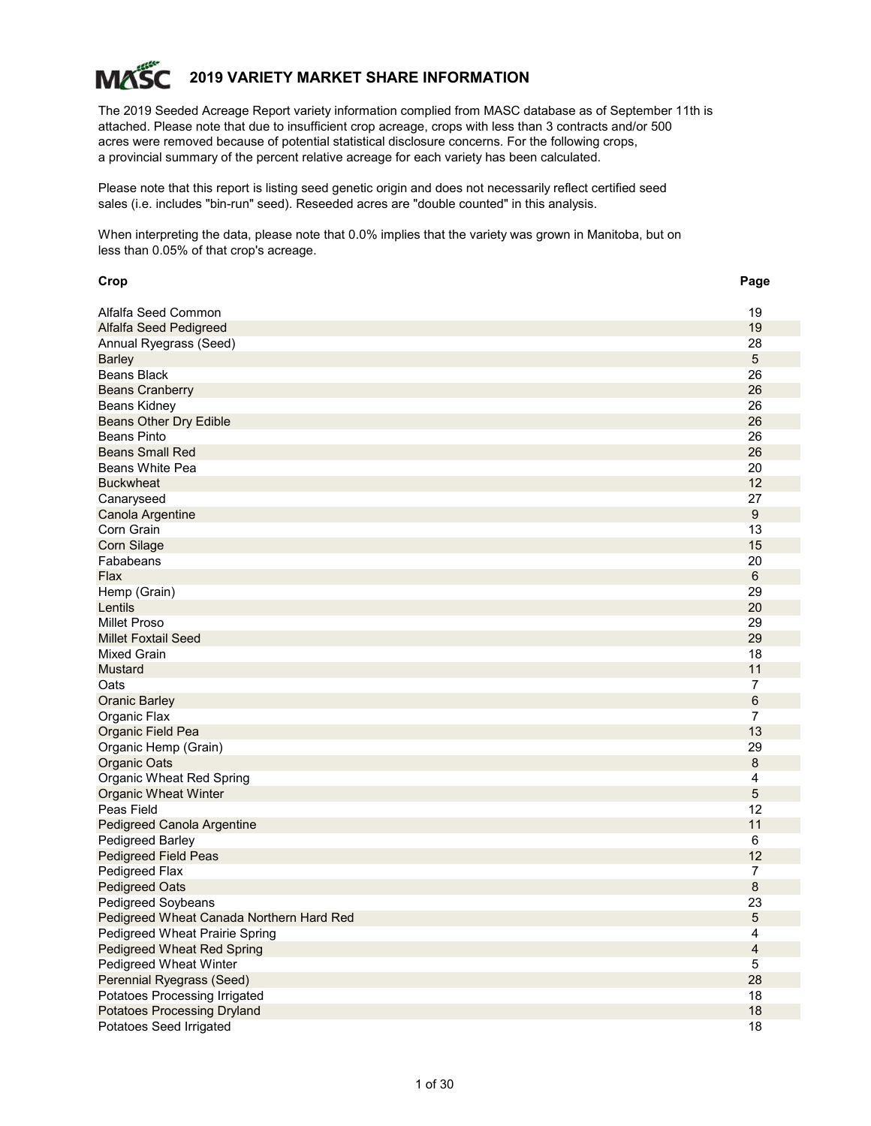# **2019 VARIETY MARKET SHARE INFORMATION MAS**

The 2019 Seeded Acreage Report variety information complied from MASC database as of September 11th is attached. Please note that due to insufficient crop acreage, crops with less than 3 contracts and/or 500 acres were removed because of potential statistical disclosure concerns. For the following crops, a provincial summary of the percent relative acreage for each variety has been calculated.

Please note that this report is listing seed genetic origin and does not necessarily reflect certified seed sales (i.e. includes "bin-run" seed). Reseeded acres are "double counted" in this analysis.

When interpreting the data, please note that 0.0% implies that the variety was grown in Manitoba, but on less than 0.05% of that crop's acreage.

| Crop                                     | Page           |
|------------------------------------------|----------------|
| Alfalfa Seed Common                      | 19             |
| Alfalfa Seed Pedigreed                   | 19             |
| Annual Ryegrass (Seed)                   | 28             |
| <b>Barley</b>                            | 5              |
| <b>Beans Black</b>                       | 26             |
| <b>Beans Cranberry</b>                   | 26             |
| <b>Beans Kidney</b>                      | 26             |
| <b>Beans Other Dry Edible</b>            | 26             |
| <b>Beans Pinto</b>                       | 26             |
| <b>Beans Small Red</b>                   | 26             |
| Beans White Pea                          | 20             |
| <b>Buckwheat</b>                         | 12             |
| Canaryseed                               | 27             |
| Canola Argentine                         | $9\,$          |
| Corn Grain                               | 13             |
| <b>Corn Silage</b>                       | 15             |
| Fababeans                                | 20             |
| Flax                                     | $\,6\,$        |
| Hemp (Grain)                             | 29             |
| Lentils                                  | 20             |
| <b>Millet Proso</b>                      | 29             |
| <b>Millet Foxtail Seed</b>               | 29             |
| <b>Mixed Grain</b>                       | 18             |
| <b>Mustard</b>                           | 11             |
| Oats                                     | $\overline{7}$ |
| <b>Oranic Barley</b>                     | $\,6$          |
| Organic Flax                             | 7              |
| Organic Field Pea                        | 13             |
| Organic Hemp (Grain)                     | 29             |
| Organic Oats                             | 8              |
| Organic Wheat Red Spring                 | 4              |
| <b>Organic Wheat Winter</b>              | 5              |
| Peas Field                               | 12             |
| Pedigreed Canola Argentine               | 11             |
| Pedigreed Barley                         | 6              |
| <b>Pedigreed Field Peas</b>              | 12             |
| Pedigreed Flax                           | 7              |
| <b>Pedigreed Oats</b>                    | 8              |
| Pedigreed Soybeans                       | 23             |
| Pedigreed Wheat Canada Northern Hard Red | $\circ$        |
| Pedigreed Wheat Prairie Spring           | 4              |
| <b>Pedigreed Wheat Red Spring</b>        | $\overline{4}$ |
| Pedigreed Wheat Winter                   | 5              |
| Perennial Ryegrass (Seed)                | 28             |
| Potatoes Processing Irrigated            | 18             |
| <b>Potatoes Processing Dryland</b>       | 18             |
| Potatoes Seed Irrigated                  | 18             |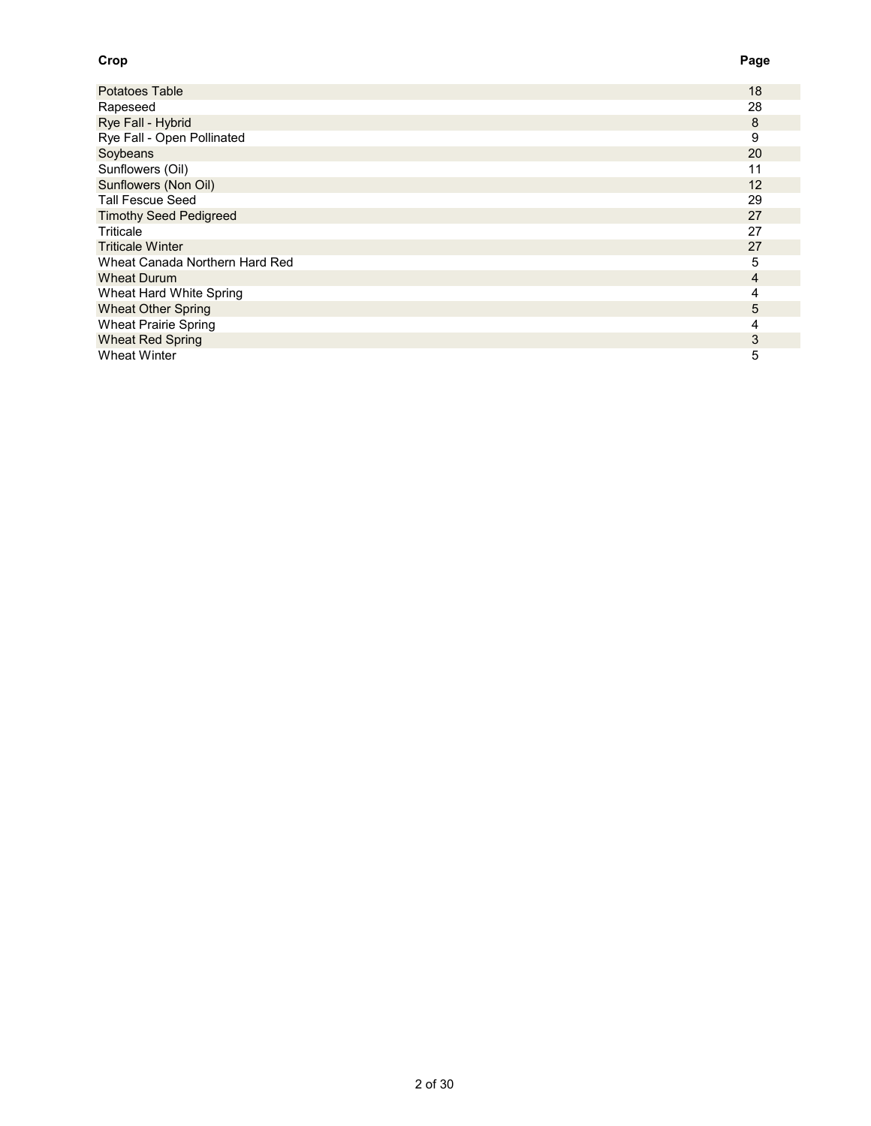#### **Crop Page**

| Potatoes Table                 | 18 |
|--------------------------------|----|
| Rapeseed                       | 28 |
| Rye Fall - Hybrid              | 8  |
| Rye Fall - Open Pollinated     | 9  |
| Soybeans                       | 20 |
| Sunflowers (Oil)               | 11 |
| Sunflowers (Non Oil)           | 12 |
| <b>Tall Fescue Seed</b>        | 29 |
| <b>Timothy Seed Pedigreed</b>  | 27 |
| Triticale                      | 27 |
| <b>Triticale Winter</b>        | 27 |
| Wheat Canada Northern Hard Red | 5  |
| <b>Wheat Durum</b>             | 4  |
| Wheat Hard White Spring        | 4  |
| <b>Wheat Other Spring</b>      | 5  |
| <b>Wheat Prairie Spring</b>    | 4  |
| <b>Wheat Red Spring</b>        | 3  |
| <b>Wheat Winter</b>            | 5  |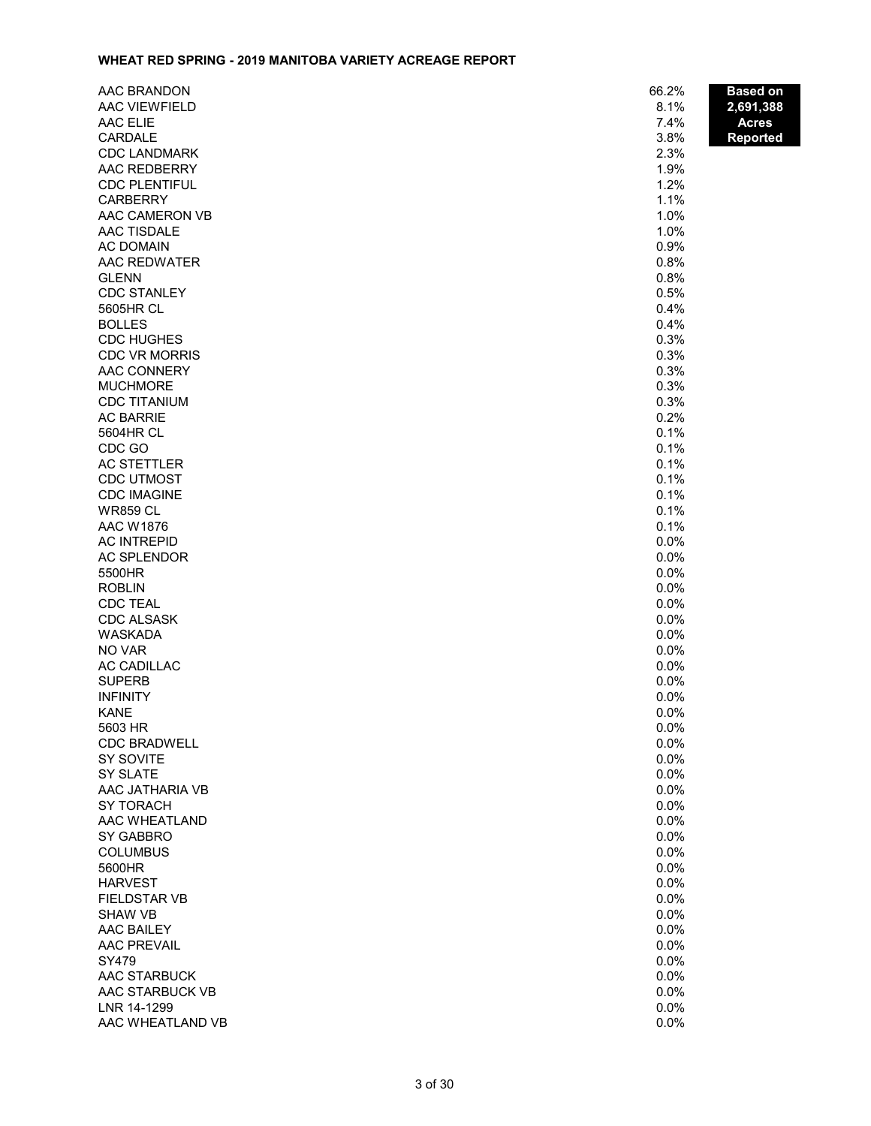#### **WHEAT RED SPRING - 2019 MANITOBA VARIETY ACREAGE REPORT**

| AAC BRANDON                     | 66.2%        | <b>Based on</b> |
|---------------------------------|--------------|-----------------|
| AAC VIEWFIELD                   | 8.1%         | 2,691,388       |
| AAC ELIE                        | 7.4%         | <b>Acres</b>    |
| <b>CARDALE</b>                  | 3.8%         | <b>Reported</b> |
| <b>CDC LANDMARK</b>             | 2.3%         |                 |
| AAC REDBERRY                    | 1.9%         |                 |
| <b>CDC PLENTIFUL</b>            | 1.2%         |                 |
| <b>CARBERRY</b>                 | 1.1%         |                 |
| AAC CAMERON VB                  | 1.0%         |                 |
| AAC TISDALE                     | 1.0%         |                 |
| <b>AC DOMAIN</b>                | 0.9%         |                 |
| AAC REDWATER                    | 0.8%         |                 |
| <b>GLENN</b>                    | 0.8%         |                 |
| <b>CDC STANLEY</b><br>5605HR CL | 0.5%<br>0.4% |                 |
| <b>BOLLES</b>                   | 0.4%         |                 |
| <b>CDC HUGHES</b>               | 0.3%         |                 |
| <b>CDC VR MORRIS</b>            | 0.3%         |                 |
| <b>AAC CONNERY</b>              | 0.3%         |                 |
| <b>MUCHMORE</b>                 | 0.3%         |                 |
| <b>CDC TITANIUM</b>             | 0.3%         |                 |
| <b>AC BARRIE</b>                | 0.2%         |                 |
| 5604HR CL                       | 0.1%         |                 |
| CDC GO                          | 0.1%         |                 |
| <b>AC STETTLER</b>              | 0.1%         |                 |
| <b>CDC UTMOST</b>               | 0.1%         |                 |
| <b>CDC IMAGINE</b>              | 0.1%         |                 |
| <b>WR859 CL</b>                 | 0.1%         |                 |
| <b>AAC W1876</b>                | 0.1%         |                 |
| <b>AC INTREPID</b>              | 0.0%         |                 |
| <b>AC SPLENDOR</b>              | 0.0%         |                 |
| 5500HR                          | 0.0%         |                 |
| <b>ROBLIN</b>                   | 0.0%         |                 |
| <b>CDC TEAL</b>                 | 0.0%         |                 |
| <b>CDC ALSASK</b>               | 0.0%         |                 |
| WASKADA<br>NO VAR               | 0.0%<br>0.0% |                 |
| AC CADILLAC                     | 0.0%         |                 |
| <b>SUPERB</b>                   | 0.0%         |                 |
| <b>INFINITY</b>                 | 0.0%         |                 |
| <b>KANE</b>                     | 0.0%         |                 |
| 5603 HR                         | 0.0%         |                 |
| <b>CDC BRADWELL</b>             | 0.0%         |                 |
| SY SOVITE                       | 0.0%         |                 |
| SY SLATE                        | 0.0%         |                 |
| AAC JATHARIA VB                 | 0.0%         |                 |
| <b>SY TORACH</b>                | 0.0%         |                 |
| AAC WHEATLAND                   | 0.0%         |                 |
| SY GABBRO                       | 0.0%         |                 |
| <b>COLUMBUS</b>                 | 0.0%         |                 |
| 5600HR                          | 0.0%         |                 |
| <b>HARVEST</b>                  | 0.0%         |                 |
| <b>FIELDSTAR VB</b>             | 0.0%         |                 |
| <b>SHAW VB</b>                  | 0.0%         |                 |
| AAC BAILEY                      | 0.0%         |                 |
| <b>AAC PREVAIL</b><br>SY479     | 0.0%<br>0.0% |                 |
| AAC STARBUCK                    | 0.0%         |                 |
| AAC STARBUCK VB                 | 0.0%         |                 |
| LNR 14-1299                     | 0.0%         |                 |
| AAC WHEATLAND VB                | 0.0%         |                 |
|                                 |              |                 |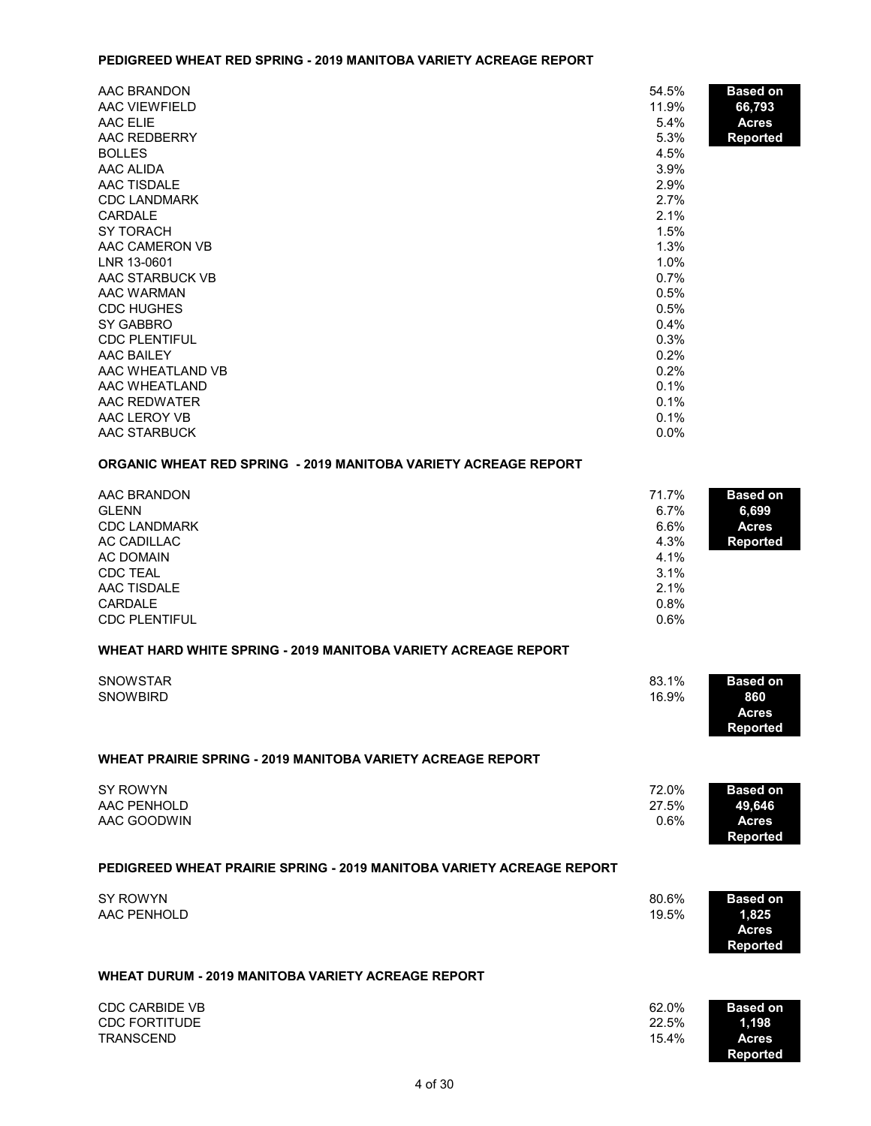#### **PEDIGREED WHEAT RED SPRING - 2019 MANITOBA VARIETY ACREAGE REPORT**

| AAC BRANDON          | 54.5%   | <b>Based on</b> |
|----------------------|---------|-----------------|
| AAC VIEWFIELD        | 11.9%   | 66,793          |
| AAC ELIE             | 5.4%    | <b>Acres</b>    |
| AAC REDBERRY         | 5.3%    | <b>Reported</b> |
| <b>BOLLES</b>        | 4.5%    |                 |
| AAC ALIDA            | 3.9%    |                 |
| AAC TISDALE          | 2.9%    |                 |
| <b>CDC LANDMARK</b>  | 2.7%    |                 |
| CARDALE              | 2.1%    |                 |
| SY TORACH            | 1.5%    |                 |
| AAC CAMERON VB       | 1.3%    |                 |
| LNR 13-0601          | 1.0%    |                 |
| AAC STARBUCK VB      | 0.7%    |                 |
| AAC WARMAN           | 0.5%    |                 |
| <b>CDC HUGHES</b>    | 0.5%    |                 |
| SY GABBRO            | 0.4%    |                 |
| <b>CDC PLENTIFUL</b> | 0.3%    |                 |
| AAC BAILEY           | 0.2%    |                 |
| AAC WHEATLAND VB     | 0.2%    |                 |
| AAC WHEATLAND        | 0.1%    |                 |
| AAC REDWATER         | 0.1%    |                 |
| AAC LEROY VB         | 0.1%    |                 |
| AAC STARBUCK         | $0.0\%$ |                 |

# **ORGANIC WHEAT RED SPRING - 2019 MANITOBA VARIETY ACREAGE REPORT**

| AAC BRANDON<br><b>GLENN</b><br><b>CDC LANDMARK</b><br><b>AC CADILLAC</b><br><b>AC DOMAIN</b><br><b>CDC TEAL</b><br><b>AAC TISDALE</b><br>CARDALE<br><b>CDC PLENTIFUL</b> | 71.7%<br>6.7%<br>6.6%<br>4.3%<br>4.1%<br>3.1%<br>2.1%<br>0.8%<br>0.6% | <b>Based on</b><br>6,699<br><b>Acres</b><br>Reported        |
|--------------------------------------------------------------------------------------------------------------------------------------------------------------------------|-----------------------------------------------------------------------|-------------------------------------------------------------|
| <b>WHEAT HARD WHITE SPRING - 2019 MANITOBA VARIETY ACREAGE REPORT</b>                                                                                                    |                                                                       |                                                             |
| <b>SNOWSTAR</b><br><b>SNOWBIRD</b>                                                                                                                                       | 83.1%<br>16.9%                                                        | <b>Based on</b><br>860<br><b>Acres</b><br>Reported          |
| <b>WHEAT PRAIRIE SPRING - 2019 MANITOBA VARIETY ACREAGE REPORT</b>                                                                                                       |                                                                       |                                                             |
| <b>SY ROWYN</b><br>AAC PENHOLD<br>AAC GOODWIN                                                                                                                            | 72.0%<br>27.5%<br>0.6%                                                | <b>Based on</b><br>49,646<br><b>Acres</b><br>Reported       |
| PEDIGREED WHEAT PRAIRIE SPRING - 2019 MANITOBA VARIETY ACREAGE REPORT                                                                                                    |                                                                       |                                                             |
| <b>SY ROWYN</b><br>AAC PENHOLD                                                                                                                                           | 80.6%<br>19.5%                                                        | <b>Based on</b><br>1,825<br><b>Acres</b><br><b>Reported</b> |
| <b>WHEAT DURUM - 2019 MANITOBA VARIETY ACREAGE REPORT</b>                                                                                                                |                                                                       |                                                             |
| <b>CDC CARBIDE VB</b><br><b>CDC FORTITUDE</b><br><b>TRANSCEND</b>                                                                                                        | 62.0%<br>22.5%<br>15.4%                                               | <b>Based on</b><br>1,198<br><b>Acres</b>                    |

**Reported**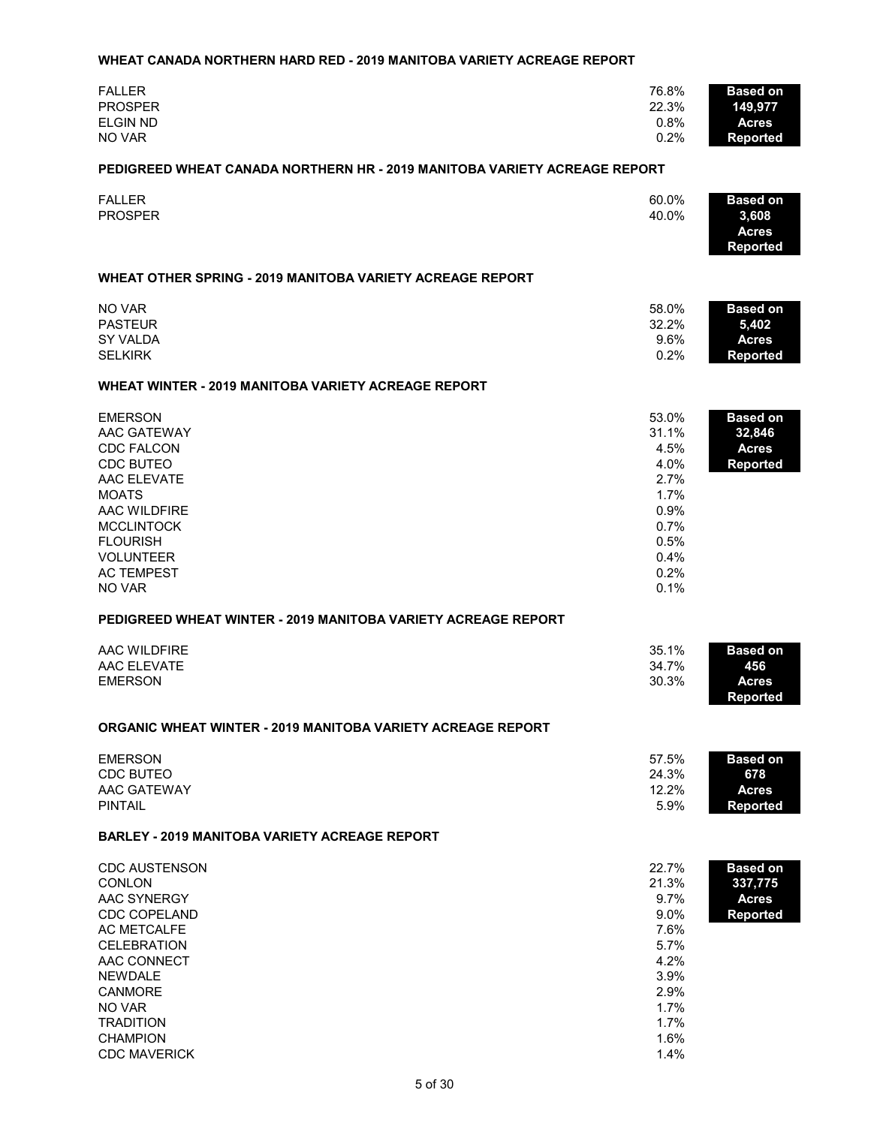#### **WHEAT CANADA NORTHERN HARD RED - 2019 MANITOBA VARIETY ACREAGE REPORT**

| <b>FALLER</b>   | 76.8% | <b>Based on</b> |
|-----------------|-------|-----------------|
| <b>PROSPER</b>  | 22.3% | 149,977         |
| <b>ELGIN ND</b> | 0.8%  | <b>Acres</b>    |
| NO VAR          | 0.2%  | Reported        |
|                 |       |                 |

#### **PEDIGREED WHEAT CANADA NORTHERN HR - 2019 MANITOBA VARIETY ACREAGE REPORT**

| <b>FALLER</b><br><b>PROSPER</b> | 60.0%<br>40.0% | <b>Based on</b><br>3,608<br><b>Acres</b> |
|---------------------------------|----------------|------------------------------------------|
|                                 |                | Reported                                 |

#### **WHEAT OTHER SPRING - 2019 MANITOBA VARIETY ACREAGE REPORT**

| NO VAR         | 58.0% | <b>Based on</b> |
|----------------|-------|-----------------|
| <b>PASTEUR</b> | 32.2% | 5.402           |
| SY VALDA       | 9.6%  | Acres           |
| <b>SELKIRK</b> | 0.2%  | Reported        |

#### **WHEAT WINTER - 2019 MANITOBA VARIETY ACREAGE REPORT**

| <b>EMERSON</b>    | 53.0%   | <b>Based on</b> |
|-------------------|---------|-----------------|
| AAC GATEWAY       | 31.1%   | 32,846          |
| <b>CDC FALCON</b> | 4.5%    | <b>Acres</b>    |
| CDC BUTEO         | 4.0%    | <b>Reported</b> |
| AAC ELEVATE       | 2.7%    |                 |
| <b>MOATS</b>      | 1.7%    |                 |
| AAC WILDFIRE      | 0.9%    |                 |
| <b>MCCLINTOCK</b> | 0.7%    |                 |
| <b>FLOURISH</b>   | 0.5%    |                 |
| <b>VOLUNTEER</b>  | $0.4\%$ |                 |
| <b>AC TEMPEST</b> | 0.2%    |                 |
| NO VAR            | 0.1%    |                 |

#### **PEDIGREED WHEAT WINTER - 2019 MANITOBA VARIETY ACREAGE REPORT**

| AAC WILDFIRE   | 35.1% | <b>Based on</b> |
|----------------|-------|-----------------|
| AAC ELEVATE    | 34.7% | 456             |
| <b>EMERSON</b> | 30.3% | Acres           |
|                |       | Reported        |

#### **ORGANIC WHEAT WINTER - 2019 MANITOBA VARIETY ACREAGE REPORT**

| <b>EMERSON</b> | 57.5% | <b>Based on</b> |
|----------------|-------|-----------------|
| CDC BUTEO      | 24.3% | 678             |
| AAC GATEWAY    | 12.2% | <b>Acres</b>    |
| <b>PINTAIL</b> | 5.9%  | Reported        |

#### **BARLEY - 2019 MANITOBA VARIETY ACREAGE REPORT**

| <b>CDC AUSTENSON</b><br><b>CONLON</b> | 22.7%<br><b>Based on</b><br>21.3%<br>337,775 |  |
|---------------------------------------|----------------------------------------------|--|
| AAC SYNERGY                           | $9.7\%$<br><b>Acres</b>                      |  |
| <b>CDC COPELAND</b>                   | $9.0\%$<br><b>Reported</b>                   |  |
| AC METCALFE                           | 7.6%                                         |  |
| <b>CELEBRATION</b>                    | 5.7%                                         |  |
| AAC CONNECT                           | 4.2%                                         |  |
| <b>NEWDALE</b>                        | 3.9%                                         |  |
| CANMORE                               | 2.9%                                         |  |
| NO VAR                                | 1.7%                                         |  |
| <b>TRADITION</b>                      | 1.7%                                         |  |
| <b>CHAMPION</b>                       | 1.6%                                         |  |
| <b>CDC MAVERICK</b>                   | 1.4%                                         |  |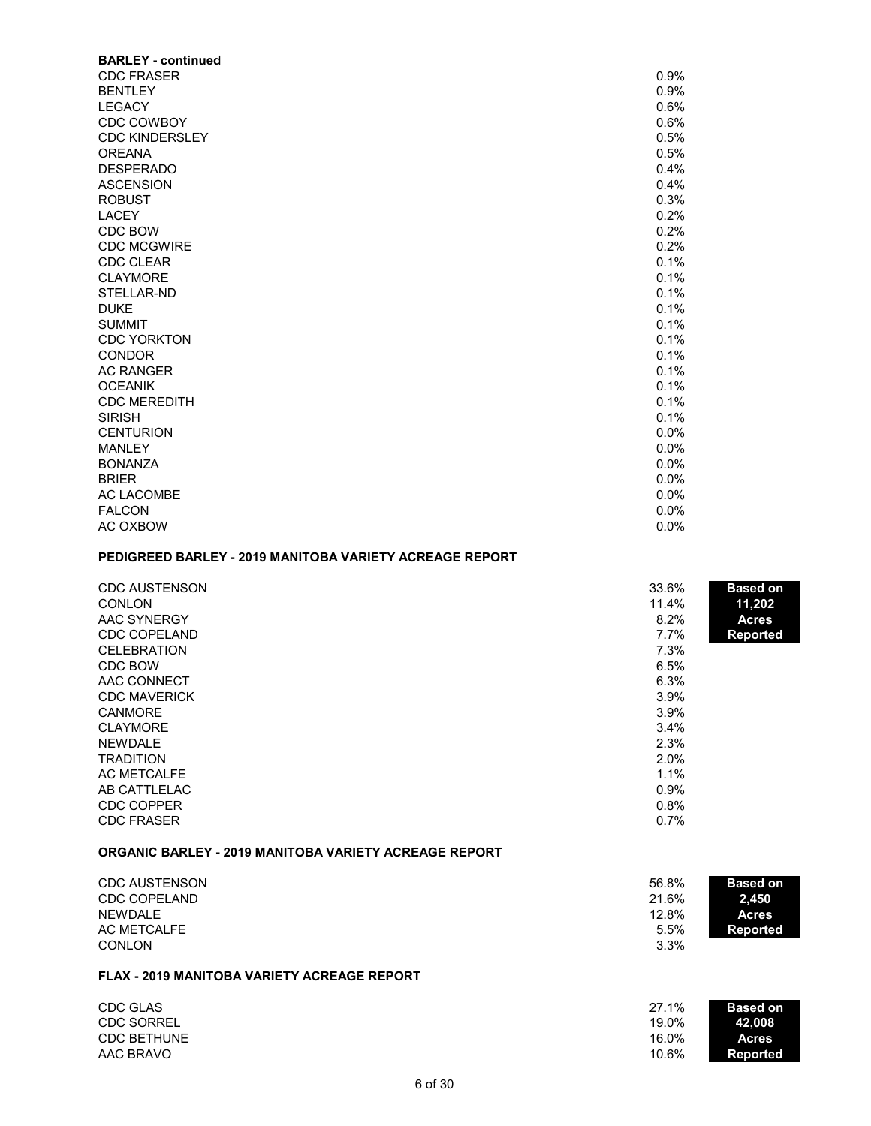| <b>BARLEY - continued</b> |      |
|---------------------------|------|
| <b>CDC FRASER</b>         | 0.9% |
| <b>BENTLEY</b>            | 0.9% |
| <b>LEGACY</b>             | 0.6% |
| <b>CDC COWBOY</b>         | 0.6% |
| <b>CDC KINDERSLEY</b>     | 0.5% |
| <b>OREANA</b>             | 0.5% |
| <b>DESPERADO</b>          | 0.4% |
| <b>ASCENSION</b>          | 0.4% |
| <b>ROBUST</b>             | 0.3% |
| <b>LACEY</b>              | 0.2% |
| CDC BOW                   | 0.2% |
| <b>CDC MCGWIRE</b>        | 0.2% |
| <b>CDC CLEAR</b>          | 0.1% |
| <b>CLAYMORE</b>           | 0.1% |
| STELLAR-ND                | 0.1% |
| <b>DUKE</b>               | 0.1% |
| <b>SUMMIT</b>             | 0.1% |
| <b>CDC YORKTON</b>        | 0.1% |
| <b>CONDOR</b>             | 0.1% |
| <b>AC RANGER</b>          | 0.1% |
| <b>OCEANIK</b>            | 0.1% |
| <b>CDC MEREDITH</b>       | 0.1% |
| <b>SIRISH</b>             | 0.1% |
| <b>CENTURION</b>          | 0.0% |
| <b>MANLEY</b>             | 0.0% |
| <b>BONANZA</b>            | 0.0% |
| <b>BRIER</b>              | 0.0% |
| <b>AC LACOMBE</b>         | 0.0% |
| <b>FALCON</b>             | 0.0% |
| AC OXBOW                  | 0.0% |

# **PEDIGREED BARLEY - 2019 MANITOBA VARIETY ACREAGE REPORT**

| <b>CDC AUSTENSON</b> | 33.6% | <b>Based on</b> |
|----------------------|-------|-----------------|
| <b>CONLON</b>        | 11.4% | 11,202          |
| AAC SYNERGY          | 8.2%  | <b>Acres</b>    |
| <b>CDC COPELAND</b>  | 7.7%  | <b>Reported</b> |
| <b>CELEBRATION</b>   | 7.3%  |                 |
| CDC BOW              | 6.5%  |                 |
| AAC CONNECT          | 6.3%  |                 |
| <b>CDC MAVERICK</b>  | 3.9%  |                 |
| <b>CANMORE</b>       | 3.9%  |                 |
| <b>CLAYMORE</b>      | 3.4%  |                 |
| <b>NEWDALE</b>       | 2.3%  |                 |
| <b>TRADITION</b>     | 2.0%  |                 |
| AC METCALFE          | 1.1%  |                 |
| AB CATTLELAC         | 0.9%  |                 |
| CDC COPPER           | 0.8%  |                 |
| <b>CDC FRASER</b>    | 0.7%  |                 |
|                      |       |                 |

# **ORGANIC BARLEY - 2019 MANITOBA VARIETY ACREAGE REPORT**

| <b>CDC AUSTENSON</b><br><b>CDC COPELAND</b> | 56.8%<br>21.6% | <b>Based on</b><br>2.450 |
|---------------------------------------------|----------------|--------------------------|
| <b>NEWDALE</b>                              | 12.8%          | <b>Acres</b>             |
| AC METCALFE                                 | 5.5%           | Reported                 |
| <b>CONLON</b>                               | 3.3%           |                          |

#### **FLAX - 2019 MANITOBA VARIETY ACREAGE REPORT**

| CDC GLAS           | <b>Based on</b><br>27.1% |  |
|--------------------|--------------------------|--|
| <b>CDC SORREL</b>  | 19.0%<br>42.008          |  |
| <b>CDC BETHUNE</b> | 16.0%<br><b>Acres</b>    |  |
| AAC BRAVO          | 10.6%<br>Reported        |  |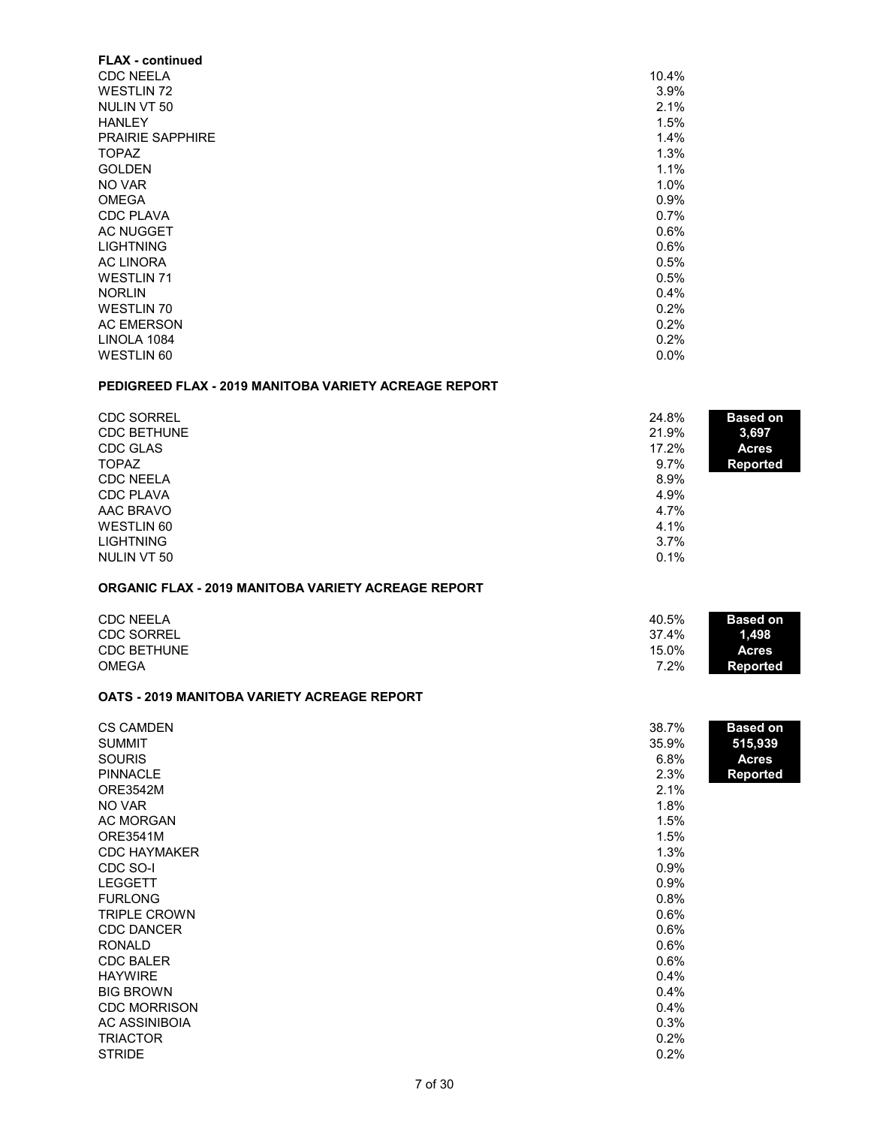| <b>FLAX</b> - continued |       |
|-------------------------|-------|
| <b>CDC NEELA</b>        | 10.4% |
| <b>WESTLIN 72</b>       | 3.9%  |
| NULIN VT 50             | 2.1%  |
| <b>HANLEY</b>           | 1.5%  |
| <b>PRAIRIE SAPPHIRE</b> | 1.4%  |
| <b>TOPAZ</b>            | 1.3%  |
| <b>GOLDEN</b>           | 1.1%  |
| NO VAR                  | 1.0%  |
| <b>OMEGA</b>            | 0.9%  |
| <b>CDC PLAVA</b>        | 0.7%  |
| <b>AC NUGGET</b>        | 0.6%  |
| <b>LIGHTNING</b>        | 0.6%  |
| <b>AC LINORA</b>        | 0.5%  |
| <b>WESTLIN 71</b>       | 0.5%  |
| <b>NORLIN</b>           | 0.4%  |
| <b>WESTLIN 70</b>       | 0.2%  |
| <b>AC EMERSON</b>       | 0.2%  |
| LINOLA 1084             | 0.2%  |
| <b>WESTLIN 60</b>       | 0.0%  |
|                         |       |

### **PEDIGREED FLAX - 2019 MANITOBA VARIETY ACREAGE REPORT**

| <b>CDC SORREL</b><br><b>CDC BETHUNE</b> | 24.8%<br><b>Based on</b><br>21.9%<br>3,697 |  |
|-----------------------------------------|--------------------------------------------|--|
| CDC GLAS                                | 17.2%<br><b>Acres</b>                      |  |
| <b>TOPAZ</b>                            | 9.7%<br><b>Reported</b>                    |  |
| <b>CDC NEELA</b>                        | 8.9%                                       |  |
| <b>CDC PLAVA</b>                        | 4.9%                                       |  |
| AAC BRAVO                               | 4.7%                                       |  |
| <b>WESTLIN 60</b>                       | 4.1%                                       |  |
| <b>LIGHTNING</b>                        | 3.7%                                       |  |
| NULIN VT 50                             | 0.1%                                       |  |

# **ORGANIC FLAX - 2019 MANITOBA VARIETY ACREAGE REPORT**

| <b>CDC NEELA</b>   | 40.5%   | <b>Based on</b> |
|--------------------|---------|-----------------|
| <b>CDC SORREL</b>  | 37.4%   | 1.498           |
| <b>CDC BETHUNE</b> | 15.0%   | <b>Acres</b>    |
| <b>OMEGA</b>       | $7.2\%$ | Reported        |

## **OATS - 2019 MANITOBA VARIETY ACREAGE REPORT**

| <b>CS CAMDEN</b>    | 38.7% | <b>Based on</b> |
|---------------------|-------|-----------------|
| <b>SUMMIT</b>       | 35.9% | 515,939         |
| <b>SOURIS</b>       | 6.8%  | <b>Acres</b>    |
| <b>PINNACLE</b>     | 2.3%  | <b>Reported</b> |
| <b>ORE3542M</b>     | 2.1%  |                 |
| NO VAR              | 1.8%  |                 |
| <b>AC MORGAN</b>    | 1.5%  |                 |
| <b>ORE3541M</b>     | 1.5%  |                 |
| <b>CDC HAYMAKER</b> | 1.3%  |                 |
| CDC SO-I            | 0.9%  |                 |
| <b>LEGGETT</b>      | 0.9%  |                 |
| <b>FURLONG</b>      | 0.8%  |                 |
| <b>TRIPLE CROWN</b> | 0.6%  |                 |
| <b>CDC DANCER</b>   | 0.6%  |                 |
| <b>RONALD</b>       | 0.6%  |                 |
| <b>CDC BALER</b>    | 0.6%  |                 |
| <b>HAYWIRE</b>      | 0.4%  |                 |
| <b>BIG BROWN</b>    | 0.4%  |                 |
| <b>CDC MORRISON</b> | 0.4%  |                 |
| AC ASSINIBOIA       | 0.3%  |                 |
| <b>TRIACTOR</b>     | 0.2%  |                 |
| <b>STRIDE</b>       | 0.2%  |                 |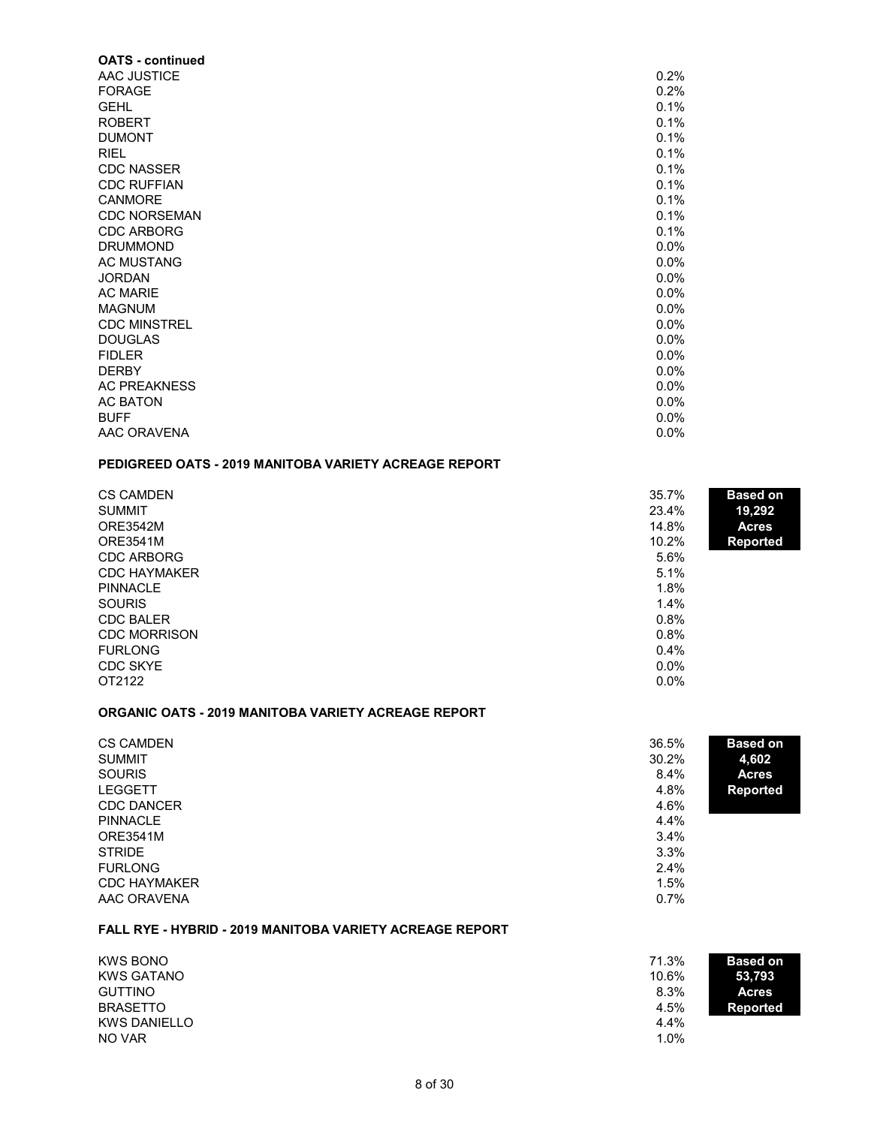| <b>OATS - continued</b> |      |
|-------------------------|------|
| AAC JUSTICE             | 0.2% |
| <b>FORAGE</b>           | 0.2% |
| <b>GEHL</b>             | 0.1% |
| <b>ROBERT</b>           | 0.1% |
| <b>DUMONT</b>           | 0.1% |
| <b>RIEL</b>             | 0.1% |
| <b>CDC NASSER</b>       | 0.1% |
| <b>CDC RUFFIAN</b>      | 0.1% |
| <b>CANMORE</b>          | 0.1% |
| <b>CDC NORSEMAN</b>     | 0.1% |
| <b>CDC ARBORG</b>       | 0.1% |
| <b>DRUMMOND</b>         | 0.0% |
| <b>AC MUSTANG</b>       | 0.0% |
| <b>JORDAN</b>           | 0.0% |
| <b>AC MARIE</b>         | 0.0% |
| <b>MAGNUM</b>           | 0.0% |
| <b>CDC MINSTREL</b>     | 0.0% |
| <b>DOUGLAS</b>          | 0.0% |
| <b>FIDLER</b>           | 0.0% |
| <b>DERBY</b>            | 0.0% |
| <b>AC PREAKNESS</b>     | 0.0% |
| <b>AC BATON</b>         | 0.0% |
| <b>BUFF</b>             | 0.0% |
| AAC ORAVENA             | 0.0% |

# **PEDIGREED OATS - 2019 MANITOBA VARIETY ACREAGE REPORT**

| <b>CS CAMDEN</b>    | 35.7%   | <b>Based on</b> |
|---------------------|---------|-----------------|
| <b>SUMMIT</b>       | 23.4%   | 19,292          |
| <b>ORE3542M</b>     | 14.8%   | <b>Acres</b>    |
| <b>ORE3541M</b>     | 10.2%   | <b>Reported</b> |
| <b>CDC ARBORG</b>   | 5.6%    |                 |
| <b>CDC HAYMAKER</b> | 5.1%    |                 |
| <b>PINNACLE</b>     | 1.8%    |                 |
| <b>SOURIS</b>       | 1.4%    |                 |
| <b>CDC BALER</b>    | 0.8%    |                 |
| <b>CDC MORRISON</b> | 0.8%    |                 |
| <b>FURLONG</b>      | $0.4\%$ |                 |
| <b>CDC SKYE</b>     | $0.0\%$ |                 |
| OT2122              | $0.0\%$ |                 |

#### **ORGANIC OATS - 2019 MANITOBA VARIETY ACREAGE REPORT**

| <b>CS CAMDEN</b>    | 36.5%<br><b>Based on</b> |  |
|---------------------|--------------------------|--|
| <b>SUMMIT</b>       | 30.2%<br>4,602           |  |
| <b>SOURIS</b>       | 8.4%<br><b>Acres</b>     |  |
| <b>LEGGETT</b>      | 4.8%<br><b>Reported</b>  |  |
| <b>CDC DANCER</b>   | 4.6%                     |  |
| <b>PINNACLE</b>     | 4.4%                     |  |
| <b>ORE3541M</b>     | 3.4%                     |  |
| <b>STRIDE</b>       | 3.3%                     |  |
| <b>FURLONG</b>      | 2.4%                     |  |
| <b>CDC HAYMAKER</b> | 1.5%                     |  |
| AAC ORAVENA         | 0.7%                     |  |

#### **FALL RYE - HYBRID - 2019 MANITOBA VARIETY ACREAGE REPORT**

| <b>KWS BONO</b>     | 71.3%<br><b>Based on</b> |  |
|---------------------|--------------------------|--|
| <b>KWS GATANO</b>   | 10.6%<br>53,793          |  |
| <b>GUTTINO</b>      | 8.3%<br><b>Acres</b>     |  |
| <b>BRASETTO</b>     | 4.5%<br>Reported         |  |
| <b>KWS DANIELLO</b> | 4.4%                     |  |
| NO VAR              | 1.0%                     |  |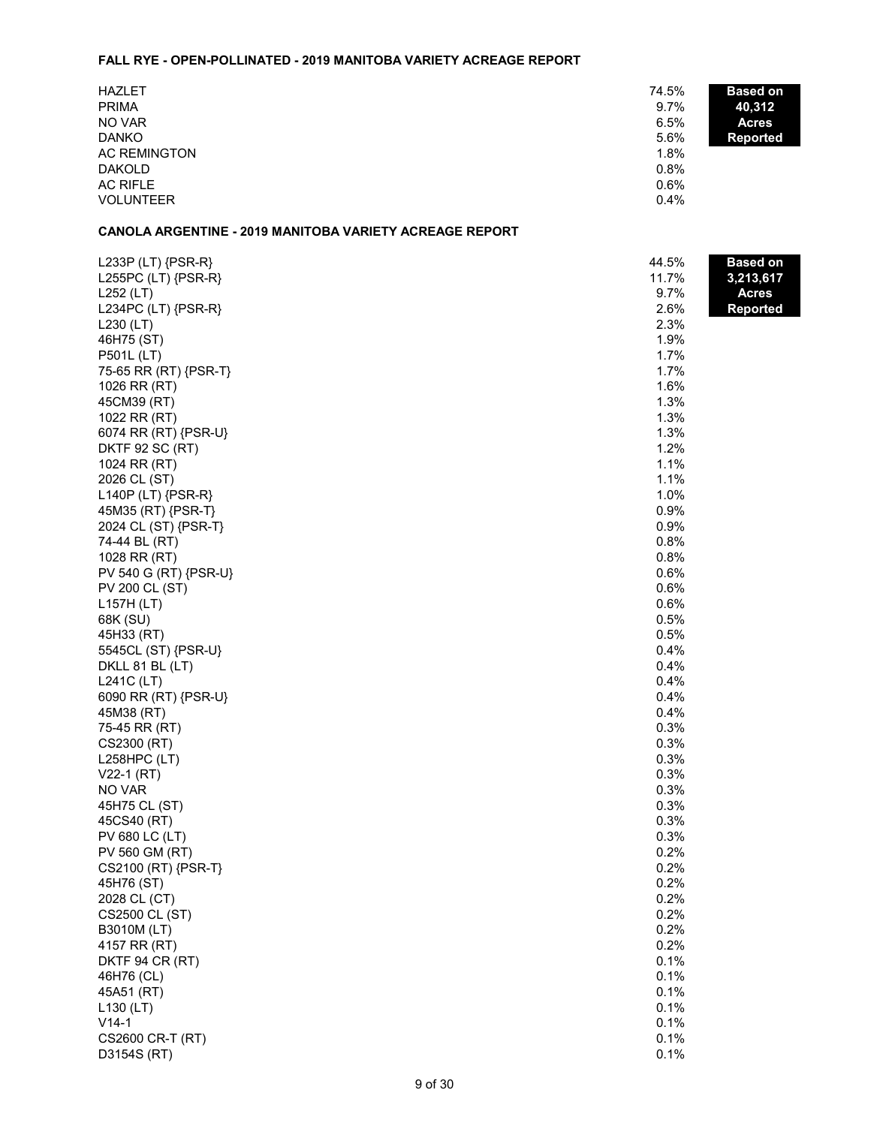#### **FALL RYE - OPEN-POLLINATED - 2019 MANITOBA VARIETY ACREAGE REPORT**

| <b>HAZLET</b>    | 74.5% | <b>Based on</b> |
|------------------|-------|-----------------|
| <b>PRIMA</b>     | 9.7%  | 40,312          |
| NO VAR           | 6.5%  | <b>Acres</b>    |
| <b>DANKO</b>     | 5.6%  | <b>Reported</b> |
| AC REMINGTON     | 1.8%  |                 |
| <b>DAKOLD</b>    | 0.8%  |                 |
| AC RIFLE         | 0.6%  |                 |
| <b>VOLUNTEER</b> | 0.4%  |                 |

## **CANOLA ARGENTINE - 2019 MANITOBA VARIETY ACREAGE REPORT**

| L233P (LT) {PSR-R}    | 44.5% | <b>Based on</b> |
|-----------------------|-------|-----------------|
| L255PC (LT) {PSR-R}   | 11.7% | 3,213,617       |
| L252 (LT)             | 9.7%  | <b>Acres</b>    |
| L234PC (LT) {PSR-R}   | 2.6%  | <b>Reported</b> |
| $L230$ (LT)           | 2.3%  |                 |
| 46H75 (ST)            | 1.9%  |                 |
| P501L (LT)            | 1.7%  |                 |
| 75-65 RR (RT) {PSR-T} | 1.7%  |                 |
| 1026 RR (RT)          | 1.6%  |                 |
| 45CM39 (RT)           | 1.3%  |                 |
| 1022 RR (RT)          | 1.3%  |                 |
| 6074 RR (RT) {PSR-U}  | 1.3%  |                 |
| DKTF 92 SC (RT)       | 1.2%  |                 |
| 1024 RR (RT)          | 1.1%  |                 |
| 2026 CL (ST)          | 1.1%  |                 |
| $L140P$ (LT) {PSR-R}  | 1.0%  |                 |
| 45M35 (RT) {PSR-T}    | 0.9%  |                 |
| 2024 CL (ST) {PSR-T}  | 0.9%  |                 |
| 74-44 BL (RT)         | 0.8%  |                 |
| 1028 RR (RT)          | 0.8%  |                 |
| PV 540 G (RT) {PSR-U} | 0.6%  |                 |
| PV 200 CL (ST)        | 0.6%  |                 |
| L157H (LT)            | 0.6%  |                 |
| 68K (SU)              | 0.5%  |                 |
| 45H33 (RT)            | 0.5%  |                 |
| 5545CL (ST) {PSR-U}   | 0.4%  |                 |
| DKLL 81 BL (LT)       | 0.4%  |                 |
| L241C (LT)            | 0.4%  |                 |
| 6090 RR (RT) {PSR-U}  | 0.4%  |                 |
| 45M38 (RT)            | 0.4%  |                 |
| 75-45 RR (RT)         | 0.3%  |                 |
| CS2300 (RT)           | 0.3%  |                 |
| L258HPC (LT)          | 0.3%  |                 |
| $V22-1 (RT)$          | 0.3%  |                 |
| NO VAR                | 0.3%  |                 |
| 45H75 CL (ST)         | 0.3%  |                 |
| 45CS40 (RT)           | 0.3%  |                 |
| PV 680 LC (LT)        | 0.3%  |                 |
| PV 560 GM (RT)        | 0.2%  |                 |
| CS2100 (RT) {PSR-T}   | 0.2%  |                 |
| 45H76 (ST)            | 0.2%  |                 |
| 2028 CL (CT)          | 0.2%  |                 |
| CS2500 CL (ST)        | 0.2%  |                 |
| B3010M (LT)           | 0.2%  |                 |
| 4157 RR (RT)          | 0.2%  |                 |
| DKTF 94 CR (RT)       | 0.1%  |                 |
| 46H76 (CL)            | 0.1%  |                 |
| 45A51 (RT)            | 0.1%  |                 |
| $L$ 130 (LT)          | 0.1%  |                 |
| $V14-1$               | 0.1%  |                 |
| CS2600 CR-T (RT)      | 0.1%  |                 |
|                       | 0.1%  |                 |
| D3154S (RT)           |       |                 |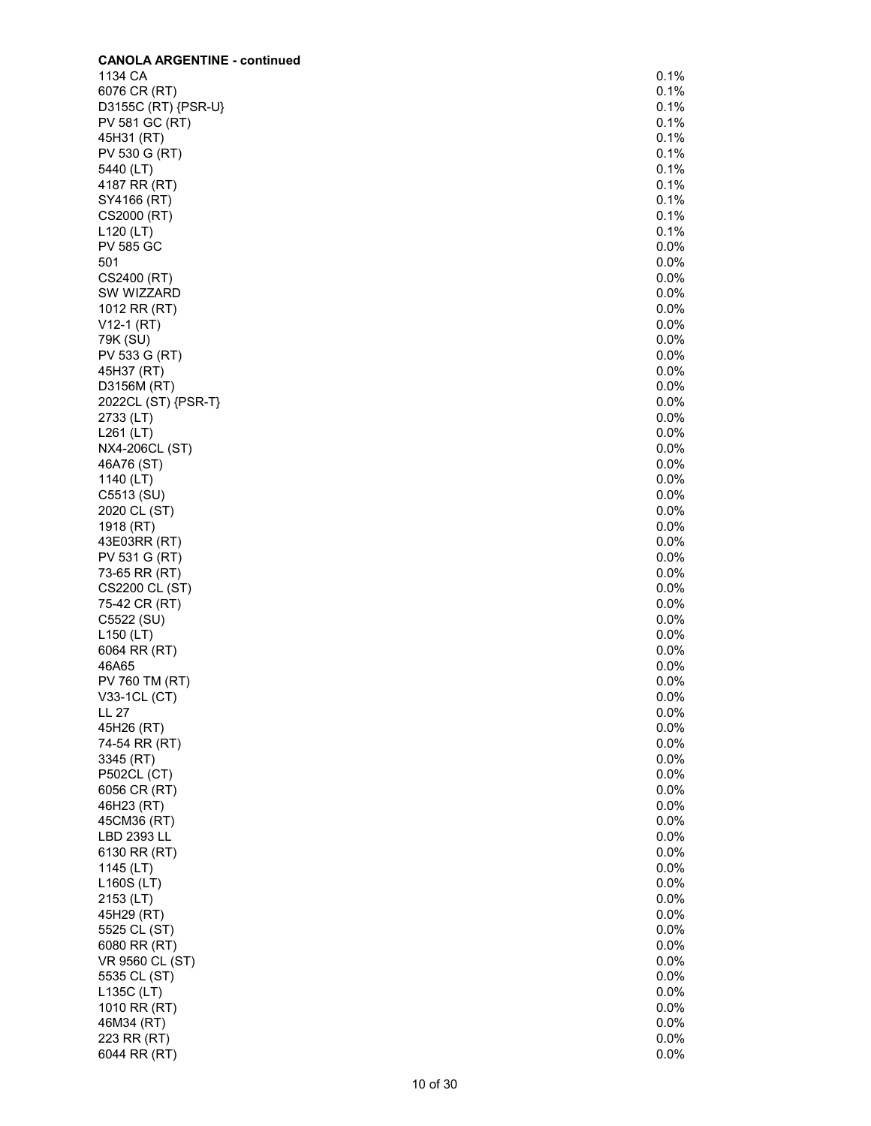| <b>CANOLA ARGENTINE - continued</b> |              |
|-------------------------------------|--------------|
| 1134 CA                             | 0.1%         |
| 6076 CR (RT)                        | 0.1%         |
| D3155C (RT) {PSR-U}                 | 0.1%         |
| PV 581 GC (RT)                      | 0.1%         |
| 45H31 (RT)                          | 0.1%         |
| PV 530 G (RT)                       | 0.1%         |
| 5440 (LT)                           | 0.1%         |
| 4187 RR (RT)                        | 0.1%         |
| SY4166 (RT)                         | 0.1%         |
| CS2000 (RT)                         | 0.1%         |
|                                     | 0.1%         |
| $L120$ (LT)                         |              |
| <b>PV 585 GC</b>                    | 0.0%         |
| 501                                 | 0.0%         |
| CS2400 (RT)                         | 0.0%         |
| SW WIZZARD                          | 0.0%         |
| 1012 RR (RT)                        | 0.0%         |
| $V12-1 (RT)$                        | 0.0%         |
| 79K (SU)                            | 0.0%         |
| PV 533 G (RT)                       | 0.0%         |
| 45H37 (RT)                          | 0.0%         |
| D3156M (RT)                         | 0.0%         |
| 2022CL (ST) {PSR-T}                 | 0.0%         |
| 2733 (LT)                           | 0.0%         |
| $L261$ (LT)                         | 0.0%         |
| NX4-206CL (ST)                      | 0.0%         |
| 46A76 (ST)                          | 0.0%         |
| 1140 (LT)                           | 0.0%         |
| C5513 (SU)                          | 0.0%         |
| 2020 CL (ST)                        | 0.0%         |
| 1918 (RT)                           | 0.0%         |
| 43E03RR (RT)                        | 0.0%         |
| PV 531 G (RT)                       | 0.0%         |
| 73-65 RR (RT)                       | 0.0%         |
| CS2200 CL (ST)                      | 0.0%         |
| 75-42 CR (RT)                       | 0.0%         |
| C5522 (SU)                          | 0.0%         |
| L150 (LT)                           | 0.0%         |
| 6064 RR (RT)                        | 0.0%         |
| 46A65                               | 0.0%         |
| PV 760 TM (RT)                      | 0.0%         |
|                                     | 0.0%         |
| V33-1CL (CT)<br>LL 27               | 0.0%         |
| 45H26 (RT)                          | 0.0%         |
| 74-54 RR (RT)                       | 0.0%         |
| 3345 (RT)                           | 0.0%         |
|                                     |              |
| <b>P502CL (CT)</b>                  | 0.0%<br>0.0% |
| 6056 CR (RT)                        |              |
| 46H23 (RT)                          | 0.0%         |
| 45CM36 (RT)                         | 0.0%         |
| LBD 2393 LL                         | 0.0%         |
| 6130 RR (RT)                        | 0.0%         |
| 1145 (LT)                           | 0.0%         |
| L160S (LT)                          | 0.0%         |
| 2153 (LT)                           | 0.0%         |
| 45H29 (RT)                          | 0.0%         |
| 5525 CL (ST)                        | 0.0%         |
| 6080 RR (RT)                        | 0.0%         |
| VR 9560 CL (ST)                     | 0.0%         |
| 5535 CL (ST)                        | 0.0%         |
| L135C (LT)                          | 0.0%         |
| 1010 RR (RT)                        | 0.0%         |
| 46M34 (RT)                          | 0.0%         |
| 223 RR (RT)                         | 0.0%         |
| 6044 RR (RT)                        | 0.0%         |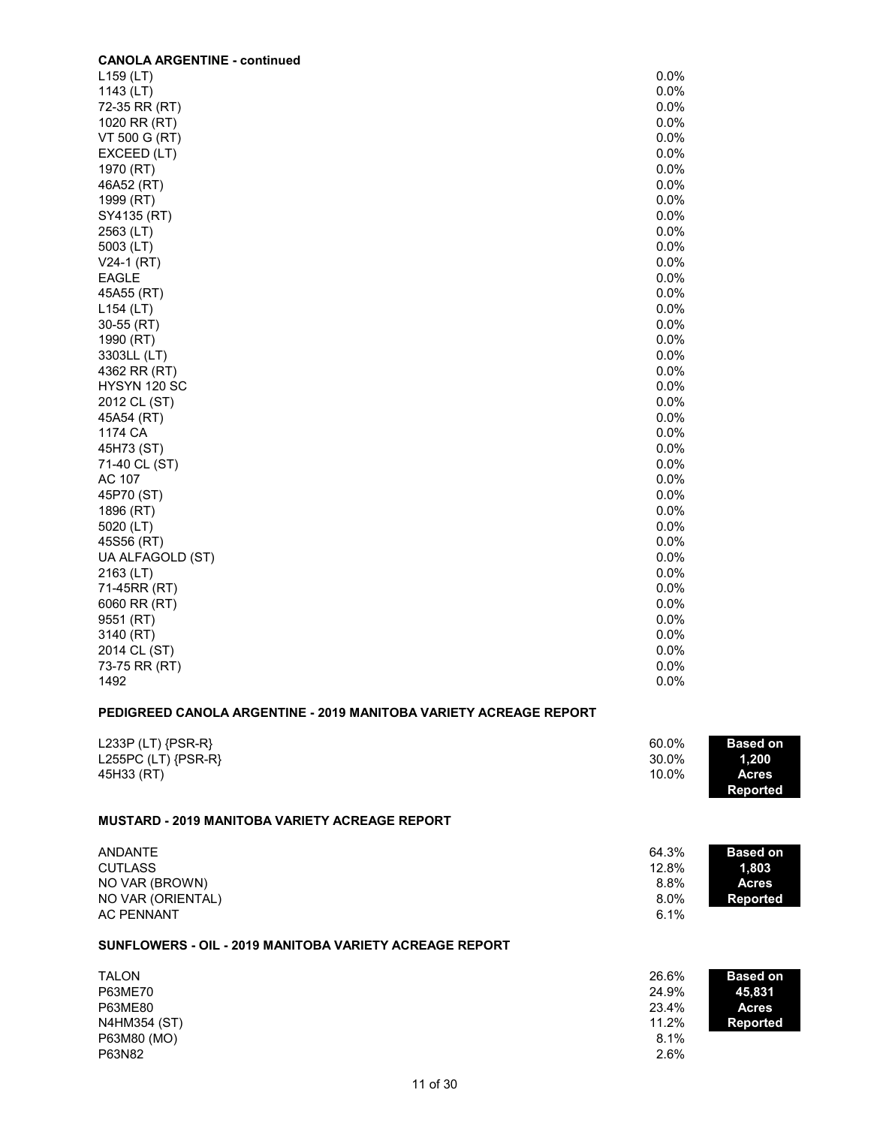| <b>CANOLA ARGENTINE - continued</b>                               |       |                 |
|-------------------------------------------------------------------|-------|-----------------|
| $L159$ (LT)                                                       | 0.0%  |                 |
| 1143 (LT)                                                         | 0.0%  |                 |
| 72-35 RR (RT)                                                     | 0.0%  |                 |
| 1020 RR (RT)                                                      | 0.0%  |                 |
| VT 500 G (RT)                                                     | 0.0%  |                 |
| EXCEED (LT)                                                       | 0.0%  |                 |
| 1970 (RT)                                                         | 0.0%  |                 |
| 46A52 (RT)                                                        | 0.0%  |                 |
| 1999 (RT)                                                         | 0.0%  |                 |
| SY4135 (RT)                                                       | 0.0%  |                 |
| 2563 (LT)                                                         | 0.0%  |                 |
| 5003 (LT)                                                         | 0.0%  |                 |
| $V24-1$ (RT)                                                      | 0.0%  |                 |
| <b>EAGLE</b>                                                      | 0.0%  |                 |
| 45A55 (RT)                                                        | 0.0%  |                 |
| $L154$ (LT)                                                       | 0.0%  |                 |
| 30-55 (RT)                                                        | 0.0%  |                 |
| 1990 (RT)                                                         | 0.0%  |                 |
| 3303LL (LT)                                                       | 0.0%  |                 |
| 4362 RR (RT)                                                      | 0.0%  |                 |
| HYSYN 120 SC                                                      | 0.0%  |                 |
| 2012 CL (ST)                                                      | 0.0%  |                 |
| 45A54 (RT)                                                        | 0.0%  |                 |
| 1174 CA                                                           | 0.0%  |                 |
| 45H73 (ST)                                                        | 0.0%  |                 |
| 71-40 CL (ST)                                                     | 0.0%  |                 |
| AC 107                                                            | 0.0%  |                 |
| 45P70 (ST)                                                        | 0.0%  |                 |
| 1896 (RT)                                                         | 0.0%  |                 |
| 5020 (LT)                                                         | 0.0%  |                 |
| 45S56 (RT)                                                        | 0.0%  |                 |
| UA ALFAGOLD (ST)                                                  | 0.0%  |                 |
| 2163 (LT)                                                         | 0.0%  |                 |
| 71-45RR (RT)                                                      | 0.0%  |                 |
| 6060 RR (RT)                                                      | 0.0%  |                 |
| 9551 (RT)                                                         | 0.0%  |                 |
| 3140 (RT)                                                         | 0.0%  |                 |
| 2014 CL (ST)                                                      | 0.0%  |                 |
| 73-75 RR (RT)                                                     | 0.0%  |                 |
| 1492                                                              | 0.0%  |                 |
| PEDIGREED CANOLA ARGENTINE - 2019 MANITOBA VARIETY ACREAGE REPORT |       |                 |
| L233P (LT) $\{PSR-R\}$                                            | 60.0% | <b>Based on</b> |
| L255PC (LT) {PSR-R}                                               | 30.0% | 1,200           |
| 45H33 (RT)                                                        | 10.0% | <b>Acres</b>    |

#### **MUSTARD - 2019 MANITOBA VARIETY ACREAGE REPORT**

| ANDANTE           | 64.3%   | <b>Based on</b> |
|-------------------|---------|-----------------|
| <b>CUTLASS</b>    | 12.8%   | 1.803           |
| NO VAR (BROWN)    | 8.8%    | Acres           |
| NO VAR (ORIENTAL) | $8.0\%$ | <b>Reported</b> |
| AC PENNANT        | 6.1%    |                 |

**Reported**

#### **SUNFLOWERS - OIL - 2019 MANITOBA VARIETY ACREAGE REPORT**

| <b>TALON</b> | 26.6% | <b>Based on</b> |
|--------------|-------|-----------------|
| P63ME70      | 24.9% | 45,831          |
| P63ME80      | 23.4% | <b>Acres</b>    |
| N4HM354 (ST) | 11.2% | <b>Reported</b> |
| P63M80 (MO)  | 8.1%  |                 |
| P63N82       | 2.6%  |                 |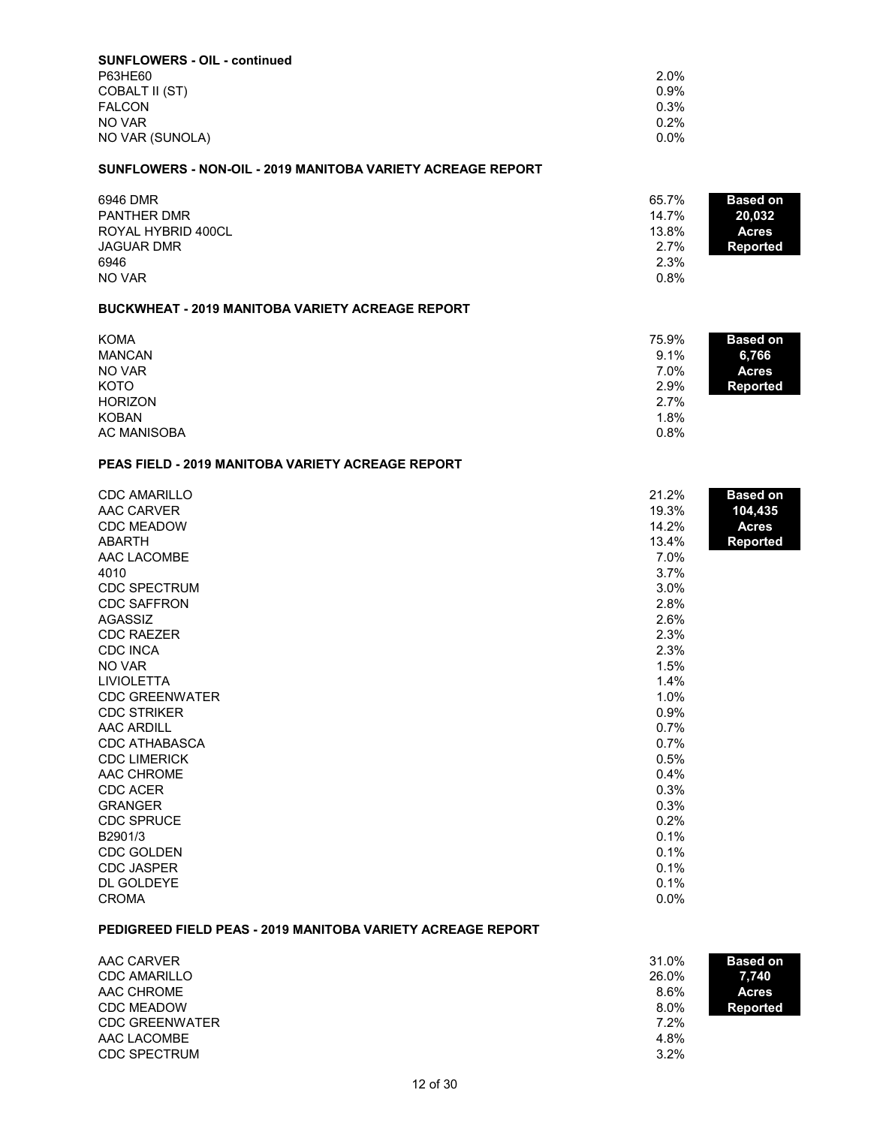| <b>SUNFLOWERS - OIL - continued</b> |         |
|-------------------------------------|---------|
| P63HE60                             | 2.0%    |
| COBALT II (ST)                      | $0.9\%$ |
| <b>FALCON</b>                       | 0.3%    |
| NO VAR                              | $0.2\%$ |
| NO VAR (SUNOLA)                     | $0.0\%$ |

#### **SUNFLOWERS - NON-OIL - 2019 MANITOBA VARIETY ACREAGE REPORT**

| 6946 DMR           | 65.7% | <b>Based on</b> |
|--------------------|-------|-----------------|
| <b>PANTHER DMR</b> | 14.7% | 20.032          |
| ROYAL HYBRID 400CL | 13.8% | Acres           |
| <b>JAGUAR DMR</b>  | 2.7%  | Reported        |
| 6946               | 2.3%  |                 |
| NO VAR             | 0.8%  |                 |

#### **BUCKWHEAT - 2019 MANITOBA VARIETY ACREAGE REPORT**

| <b>KOMA</b>        | 75.9%<br><b>Based on</b> |  |
|--------------------|--------------------------|--|
| <b>MANCAN</b>      | 9.1%<br>6,766            |  |
| NO VAR             | 7.0%<br><b>Acres</b>     |  |
| <b>KOTO</b>        | 2.9%<br><b>Reported</b>  |  |
| <b>HORIZON</b>     | 2.7%                     |  |
| <b>KOBAN</b>       | 1.8%                     |  |
| <b>AC MANISOBA</b> | 0.8%                     |  |

## **PEAS FIELD - 2019 MANITOBA VARIETY ACREAGE REPORT**

| <b>CDC AMARILLO</b>   | 21.2% | <b>Based on</b> |
|-----------------------|-------|-----------------|
| AAC CARVER            | 19.3% | 104,435         |
| <b>CDC MEADOW</b>     | 14.2% | <b>Acres</b>    |
| <b>ABARTH</b>         | 13.4% | <b>Reported</b> |
| AAC LACOMBE           | 7.0%  |                 |
| 4010                  | 3.7%  |                 |
| <b>CDC SPECTRUM</b>   | 3.0%  |                 |
| <b>CDC SAFFRON</b>    | 2.8%  |                 |
| <b>AGASSIZ</b>        | 2.6%  |                 |
| <b>CDC RAEZER</b>     | 2.3%  |                 |
| <b>CDC INCA</b>       | 2.3%  |                 |
| NO VAR                | 1.5%  |                 |
| <b>LIVIOLETTA</b>     | 1.4%  |                 |
| <b>CDC GREENWATER</b> | 1.0%  |                 |
| <b>CDC STRIKER</b>    | 0.9%  |                 |
| <b>AAC ARDILL</b>     | 0.7%  |                 |
| <b>CDC ATHABASCA</b>  | 0.7%  |                 |
| <b>CDC LIMERICK</b>   | 0.5%  |                 |
| AAC CHROME            | 0.4%  |                 |
| <b>CDC ACER</b>       | 0.3%  |                 |
| <b>GRANGER</b>        | 0.3%  |                 |
| <b>CDC SPRUCE</b>     | 0.2%  |                 |
| B2901/3               | 0.1%  |                 |
| <b>CDC GOLDEN</b>     | 0.1%  |                 |
| <b>CDC JASPER</b>     | 0.1%  |                 |
| DL GOLDEYE            | 0.1%  |                 |
| <b>CROMA</b>          | 0.0%  |                 |

#### **PEDIGREED FIELD PEAS - 2019 MANITOBA VARIETY ACREAGE REPORT**

| AAC CARVER            | 31.0% | <b>Based on</b> |
|-----------------------|-------|-----------------|
| <b>CDC AMARILLO</b>   | 26.0% | 7.740           |
| AAC CHROME            | 8.6%  | <b>Acres</b>    |
| <b>CDC MEADOW</b>     | 8.0%  | Reported        |
| <b>CDC GREENWATER</b> | 7.2%  |                 |
| AAC LACOMBE           | 4.8%  |                 |
| <b>CDC SPECTRUM</b>   | 3.2%  |                 |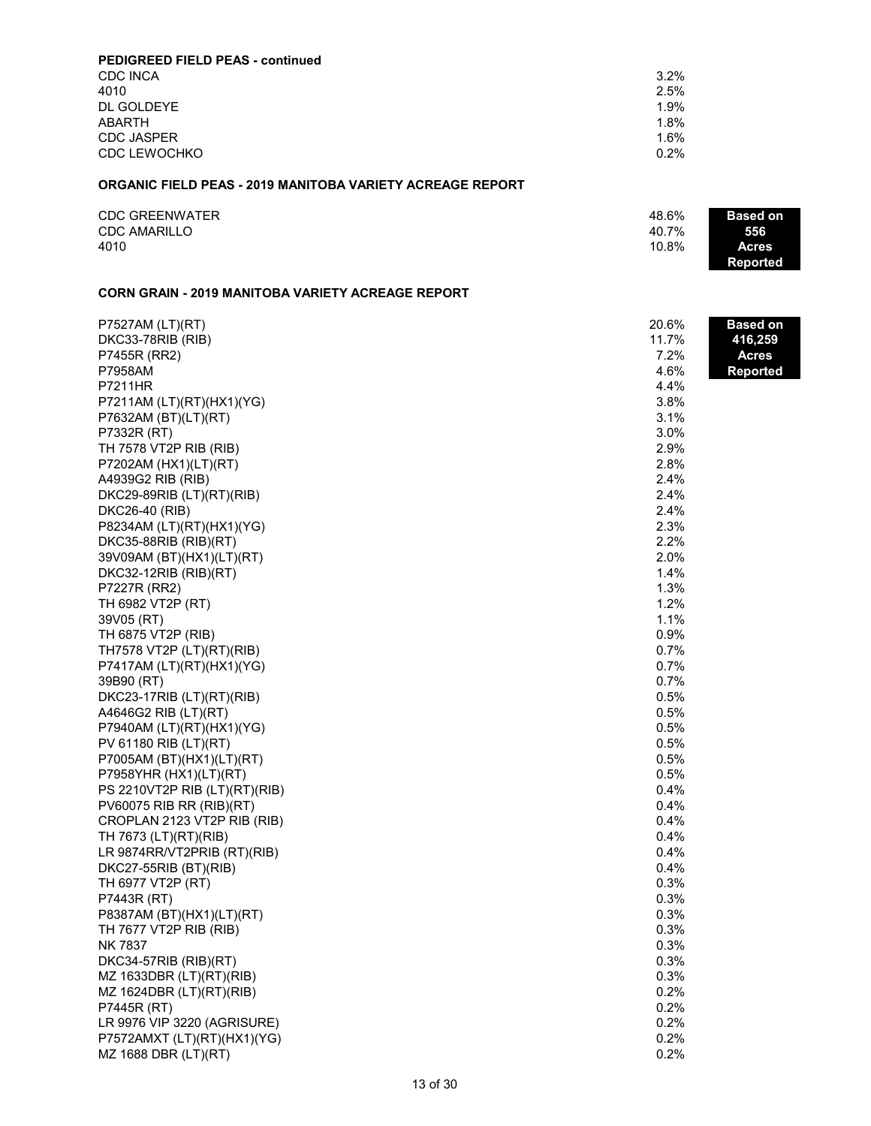| PEDIGREED FIELD PEAS - continued |      |
|----------------------------------|------|
| <b>CDC INCA</b>                  | 3.2% |
| 4010                             | 2.5% |
| DL GOLDEYE                       | 1.9% |
| <b>ABARTH</b>                    | 1.8% |
| <b>CDC JASPER</b>                | 1.6% |
| <b>CDC LEWOCHKO</b>              | 0.2% |

#### **ORGANIC FIELD PEAS - 2019 MANITOBA VARIETY ACREAGE REPORT**

| <b>CDC GREENWATER</b> | 48.6% | <b>Based on</b> |
|-----------------------|-------|-----------------|
| <b>CDC AMARILLO</b>   | 40.7% | 556             |
| 4010                  | 10.8% | Acres           |
|                       |       | Reported        |

# **CORN GRAIN - 2019 MANITOBA VARIETY ACREAGE REPORT**

| P7527AM (LT)(RT)              | 20.6% | Based on        |
|-------------------------------|-------|-----------------|
| DKC33-78RIB (RIB)             | 11.7% | 416,259         |
| P7455R (RR2)                  | 7.2%  | <b>Acres</b>    |
| P7958AM                       | 4.6%  | <b>Reported</b> |
| P7211HR                       | 4.4%  |                 |
| P7211AM (LT)(RT)(HX1)(YG)     | 3.8%  |                 |
| P7632AM (BT)(LT)(RT)          | 3.1%  |                 |
| P7332R (RT)                   | 3.0%  |                 |
| TH 7578 VT2P RIB (RIB)        | 2.9%  |                 |
| P7202AM (HX1)(LT)(RT)         | 2.8%  |                 |
| A4939G2 RIB (RIB)             | 2.4%  |                 |
| DKC29-89RIB (LT)(RT)(RIB)     | 2.4%  |                 |
| DKC26-40 (RIB)                | 2.4%  |                 |
| P8234AM (LT)(RT)(HX1)(YG)     | 2.3%  |                 |
| DKC35-88RIB (RIB)(RT)         | 2.2%  |                 |
| 39V09AM (BT)(HX1)(LT)(RT)     | 2.0%  |                 |
| $DKC32-12RIB (RIB)(RT)$       | 1.4%  |                 |
| P7227R (RR2)                  | 1.3%  |                 |
| TH 6982 VT2P (RT)             | 1.2%  |                 |
| 39V05 (RT)                    | 1.1%  |                 |
| TH 6875 VT2P (RIB)            | 0.9%  |                 |
| TH7578 VT2P (LT)(RT)(RIB)     | 0.7%  |                 |
| P7417AM (LT)(RT)(HX1)(YG)     | 0.7%  |                 |
| 39B90 (RT)                    | 0.7%  |                 |
| DKC23-17RIB (LT)(RT)(RIB)     | 0.5%  |                 |
| A4646G2 RIB (LT)(RT)          | 0.5%  |                 |
| P7940AM (LT)(RT)(HX1)(YG)     | 0.5%  |                 |
| PV 61180 RIB (LT)(RT)         | 0.5%  |                 |
| P7005AM (BT)(HX1)(LT)(RT)     | 0.5%  |                 |
| P7958YHR (HX1)(LT)(RT)        | 0.5%  |                 |
| PS 2210VT2P RIB (LT)(RT)(RIB) | 0.4%  |                 |
| PV60075 RIB RR (RIB)(RT)      | 0.4%  |                 |
| CROPLAN 2123 VT2P RIB (RIB)   | 0.4%  |                 |
| TH 7673 (LT)(RT)(RIB)         | 0.4%  |                 |
| LR 9874RR/VT2PRIB (RT)(RIB)   | 0.4%  |                 |
| DKC27-55RIB (BT)(RIB)         | 0.4%  |                 |
| TH 6977 VT2P (RT)             | 0.3%  |                 |
| P7443R (RT)                   | 0.3%  |                 |
| P8387AM (BT)(HX1)(LT)(RT)     | 0.3%  |                 |
| TH 7677 VT2P RIB (RIB)        | 0.3%  |                 |
| <b>NK 7837</b>                | 0.3%  |                 |
| DKC34-57RIB (RIB)(RT)         | 0.3%  |                 |
| MZ 1633DBR (LT)(RT)(RIB)      | 0.3%  |                 |
| MZ 1624DBR (LT)(RT)(RIB)      | 0.2%  |                 |
| P7445R (RT)                   | 0.2%  |                 |
| LR 9976 VIP 3220 (AGRISURE)   | 0.2%  |                 |
| P7572AMXT (LT)(RT)(HX1)(YG)   | 0.2%  |                 |
| MZ 1688 DBR (LT)(RT)          | 0.2%  |                 |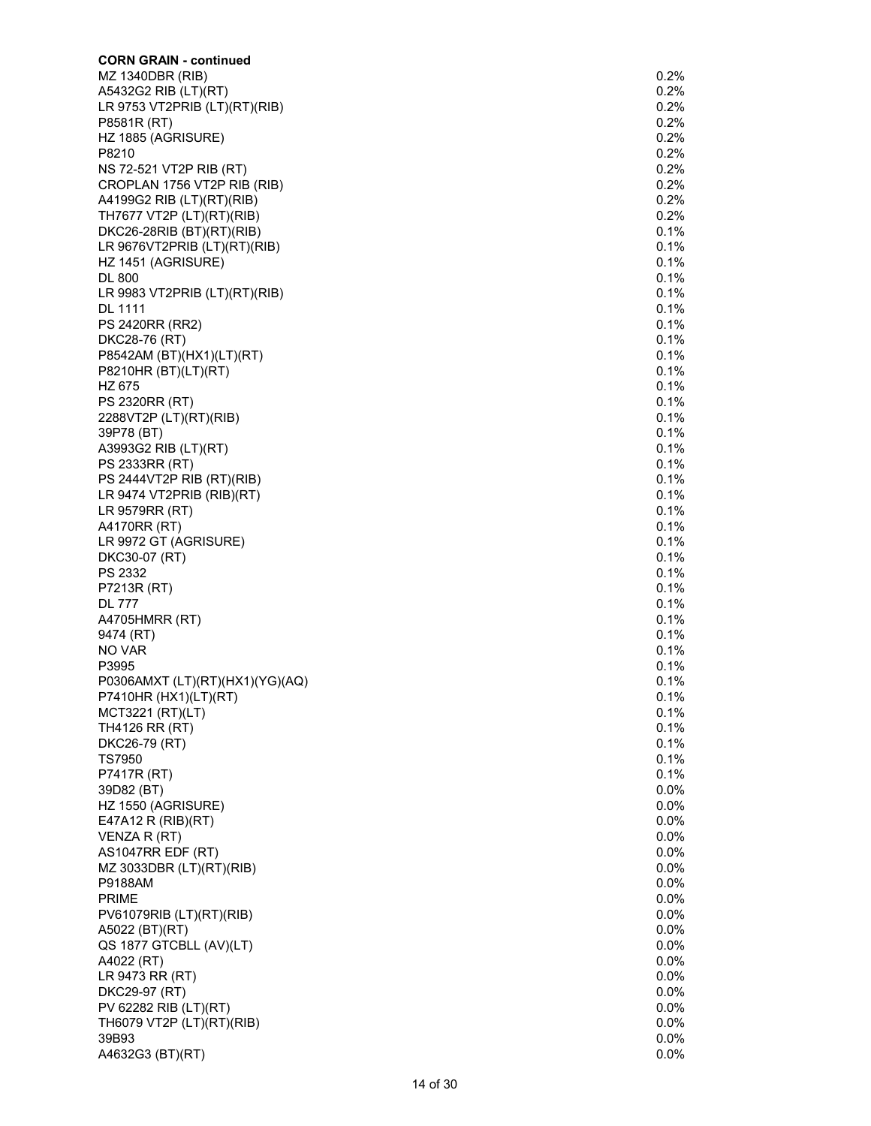| <b>CORN GRAIN - continued</b>               | 0.2%         |
|---------------------------------------------|--------------|
| MZ 1340DBR (RIB)<br>A5432G2 RIB (LT)(RT)    | 0.2%         |
| LR 9753 VT2PRIB (LT)(RT)(RIB)               | 0.2%         |
| P8581R (RT)                                 | 0.2%         |
| HZ 1885 (AGRISURE)                          | 0.2%         |
| P8210                                       | 0.2%         |
| NS 72-521 VT2P RIB (RT)                     | 0.2%         |
| CROPLAN 1756 VT2P RIB (RIB)                 | 0.2%         |
| A4199G2 RIB (LT)(RT)(RIB)                   | 0.2%         |
| TH7677 VT2P (LT)(RT)(RIB)                   | 0.2%         |
| DKC26-28RIB (BT)(RT)(RIB)                   | 0.1%         |
| LR 9676VT2PRIB (LT)(RT)(RIB)                | 0.1%<br>0.1% |
| HZ 1451 (AGRISURE)<br><b>DL 800</b>         | 0.1%         |
| LR 9983 VT2PRIB $(LT)(RT)(RIB)$             | 0.1%         |
| DL 1111                                     | 0.1%         |
| PS 2420RR (RR2)                             | 0.1%         |
| DKC28-76 (RT)                               | 0.1%         |
| P8542AM (BT)(HX1)(LT)(RT)                   | 0.1%         |
| P8210HR (BT)(LT)(RT)                        | 0.1%         |
| HZ 675                                      | 0.1%         |
| PS 2320RR (RT)                              | 0.1%         |
| 2288VT2P (LT)(RT)(RIB)                      | 0.1%         |
| 39P78 (BT)                                  | 0.1%         |
| A3993G2 RIB (LT)(RT)                        | 0.1%         |
| PS 2333RR (RT)                              | 0.1%         |
| PS 2444VT2P RIB (RT)(RIB)                   | 0.1%         |
| LR 9474 VT2PRIB (RIB)(RT)<br>LR 9579RR (RT) | 0.1%         |
| A4170RR (RT)                                | 0.1%<br>0.1% |
| LR 9972 GT (AGRISURE)                       | 0.1%         |
| DKC30-07 (RT)                               | 0.1%         |
| PS 2332                                     | 0.1%         |
| P7213R (RT)                                 | 0.1%         |
| <b>DL 777</b>                               | 0.1%         |
| A4705HMRR (RT)                              | 0.1%         |
| 9474 (RT)                                   | 0.1%         |
| NO VAR                                      | 0.1%         |
| P3995                                       | 0.1%         |
| P0306AMXT (LT)(RT)(HX1)(YG)(AQ)             | 0.1%         |
| P7410HR (HX1)(LT)(RT)                       | 0.1%         |
| MCT3221 (RT)(LT)                            | 0.1%         |
| TH4126 RR (RT)                              | 0.1%<br>0.1% |
| DKC26-79 (RT)<br>TS7950                     | 0.1%         |
| P7417R (RT)                                 | 0.1%         |
| 39D82 (BT)                                  | 0.0%         |
| HZ 1550 (AGRISURE)                          | 0.0%         |
| E47A12 R (RIB)(RT)                          | 0.0%         |
| VENZA R (RT)                                | 0.0%         |
| AS1047RR EDF (RT)                           | 0.0%         |
| MZ 3033DBR (LT)(RT)(RIB)                    | 0.0%         |
| <b>P9188AM</b>                              | 0.0%         |
| <b>PRIME</b>                                | 0.0%         |
| PV61079RIB (LT)(RT)(RIB)                    | 0.0%         |
| A5022 (BT)(RT)                              | 0.0%         |
| QS 1877 GTCBLL (AV)(LT)                     | 0.0%         |
| A4022 (RT)                                  | 0.0%         |
| LR 9473 RR (RT)<br>DKC29-97 (RT)            | 0.0%<br>0.0% |
| PV 62282 RIB (LT)(RT)                       | 0.0%         |
| TH6079 VT2P (LT)(RT)(RIB)                   | 0.0%         |
| 39B93                                       | 0.0%         |
| A4632G3 (BT)(RT)                            | 0.0%         |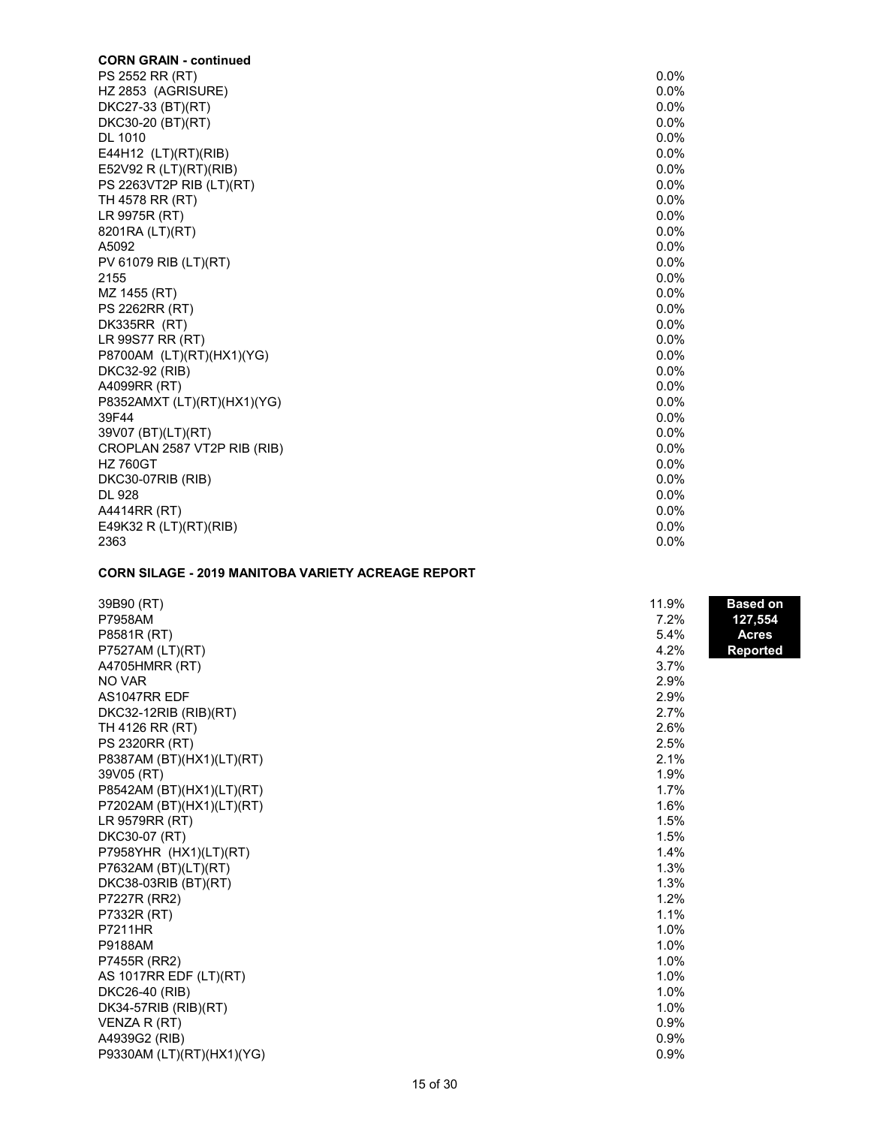| <b>CORN GRAIN - continued</b> |         |
|-------------------------------|---------|
| PS 2552 RR (RT)               | $0.0\%$ |
| HZ 2853 (AGRISURE)            | $0.0\%$ |
| DKC27-33 (BT)(RT)             | $0.0\%$ |
| DKC30-20 (BT)(RT)             | $0.0\%$ |
| <b>DL 1010</b>                | 0.0%    |
| E44H12 (LT)(RT)(RIB)          | $0.0\%$ |
| E52V92 R (LT)(RT)(RIB)        | $0.0\%$ |
| PS 2263VT2P RIB (LT)(RT)      | $0.0\%$ |
| TH 4578 RR (RT)               | 0.0%    |
| LR 9975R (RT)                 | $0.0\%$ |
| 8201RA (LT)(RT)               | $0.0\%$ |
| A5092                         | 0.0%    |
| PV 61079 RIB (LT)(RT)         | $0.0\%$ |
| 2155                          | $0.0\%$ |
| MZ 1455 (RT)                  | $0.0\%$ |
| <b>PS 2262RR (RT)</b>         | $0.0\%$ |
| DK335RR (RT)                  | 0.0%    |
| LR 99S77 RR (RT)              | $0.0\%$ |
| P8700AM (LT)(RT)(HX1)(YG)     | $0.0\%$ |
| DKC32-92 (RIB)                | $0.0\%$ |
| A4099RR (RT)                  | 0.0%    |
| P8352AMXT (LT)(RT)(HX1)(YG)   | 0.0%    |
| 39F44                         | $0.0\%$ |
| 39V07 (BT)(LT)(RT)            | 0.0%    |
| CROPLAN 2587 VT2P RIB (RIB)   | $0.0\%$ |
| <b>HZ 760GT</b>               | 0.0%    |
| DKC30-07RIB (RIB)             | $0.0\%$ |
| DL 928                        | $0.0\%$ |
| A4414RR (RT)                  | 0.0%    |
| E49K32 R $(LT)(RT)(RIB)$      | $0.0\%$ |
| 2363                          | 0.0%    |

## **CORN SILAGE - 2019 MANITOBA VARIETY ACREAGE REPORT**

| 39B90 (RT)                | 11.9% | <b>Based on</b> |
|---------------------------|-------|-----------------|
| P7958AM                   | 7.2%  | 127,554         |
| P8581R (RT)               | 5.4%  | <b>Acres</b>    |
| P7527AM (LT)(RT)          | 4.2%  | <b>Reported</b> |
| A4705HMRR (RT)            | 3.7%  |                 |
| NO VAR                    | 2.9%  |                 |
| AS1047RR EDF              | 2.9%  |                 |
| DKC32-12RIB (RIB)(RT)     | 2.7%  |                 |
| TH 4126 RR (RT)           | 2.6%  |                 |
| <b>PS 2320RR (RT)</b>     | 2.5%  |                 |
| P8387AM (BT)(HX1)(LT)(RT) | 2.1%  |                 |
| 39V05 (RT)                | 1.9%  |                 |
| P8542AM (BT)(HX1)(LT)(RT) | 1.7%  |                 |
| P7202AM (BT)(HX1)(LT)(RT) | 1.6%  |                 |
| LR 9579RR (RT)            | 1.5%  |                 |
| DKC30-07 (RT)             | 1.5%  |                 |
| P7958YHR (HX1)(LT)(RT)    | 1.4%  |                 |
| P7632AM (BT)(LT)(RT)      | 1.3%  |                 |
| DKC38-03RIB (BT)(RT)      | 1.3%  |                 |
| P7227R (RR2)              | 1.2%  |                 |
| P7332R (RT)               | 1.1%  |                 |
| <b>P7211HR</b>            | 1.0%  |                 |
| P9188AM                   | 1.0%  |                 |
| P7455R (RR2)              | 1.0%  |                 |
| AS 1017RR EDF (LT)(RT)    | 1.0%  |                 |
| DKC26-40 (RIB)            | 1.0%  |                 |
| DK34-57RIB (RIB)(RT)      | 1.0%  |                 |
| VENZA R (RT)              | 0.9%  |                 |
| A4939G2 (RIB)             | 0.9%  |                 |
| P9330AM (LT)(RT)(HX1)(YG) | 0.9%  |                 |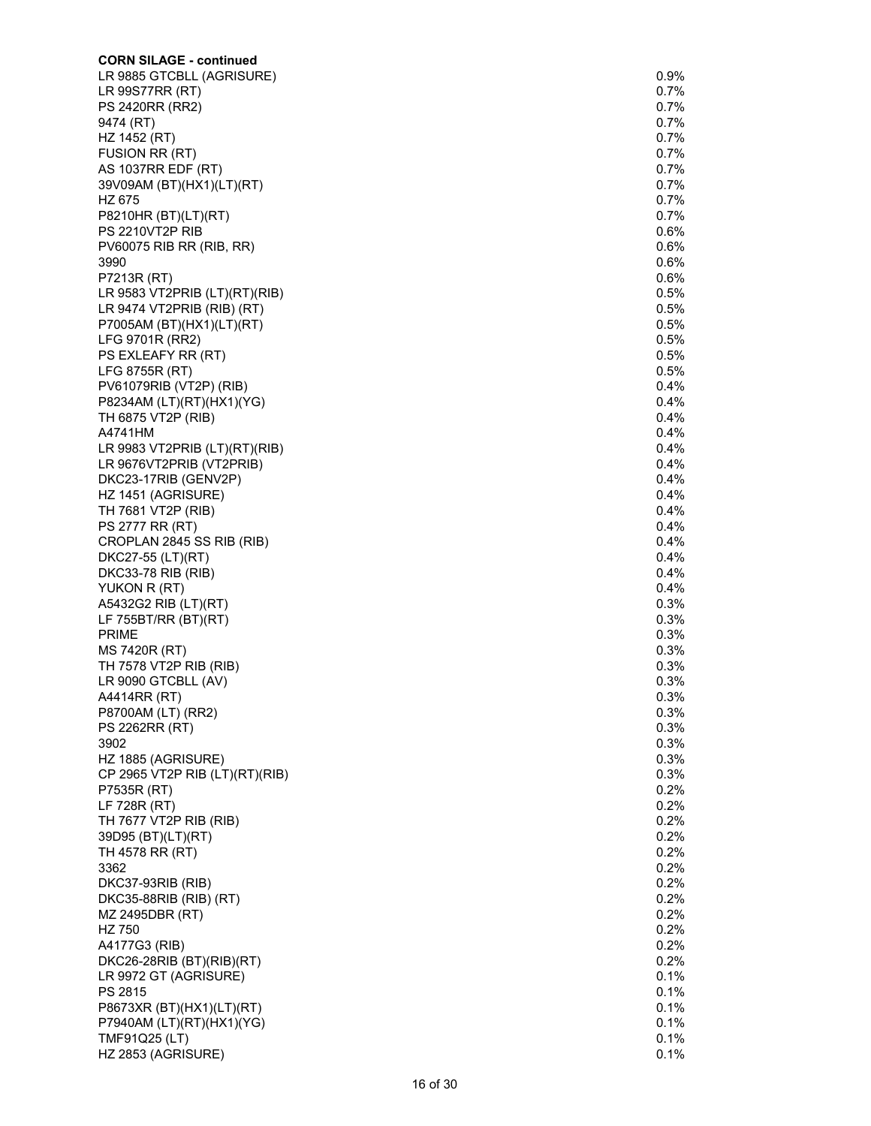| <b>CORN SILAGE - continued</b>  |         |
|---------------------------------|---------|
| LR 9885 GTCBLL (AGRISURE)       | $0.9\%$ |
| LR 99S77RR (RT)                 | 0.7%    |
| <b>PS 2420RR (RR2)</b>          | 0.7%    |
| 9474 (RT)                       | 0.7%    |
| HZ 1452 (RT)                    | 0.7%    |
| FUSION RR (RT)                  | 0.7%    |
| AS 1037RR EDF (RT)              | 0.7%    |
| 39V09AM (BT)(HX1)(LT)(RT)       | $0.7\%$ |
| HZ 675                          | 0.7%    |
| P8210HR (BT)(LT)(RT)            | 0.7%    |
| PS 2210VT2P RIB                 | 0.6%    |
| PV60075 RIB RR (RIB, RR)        | 0.6%    |
| 3990                            | 0.6%    |
| P7213R (RT)                     | 0.6%    |
| LR 9583 VT2PRIB (LT)(RT)(RIB)   | 0.5%    |
| LR 9474 VT2PRIB (RIB) (RT)      | 0.5%    |
| P7005AM (BT)(HX1)(LT)(RT)       | 0.5%    |
| LFG 9701R (RR2)                 | 0.5%    |
| PS EXLEAFY RR (RT)              | 0.5%    |
| LFG 8755R (RT)                  | 0.5%    |
| PV61079RIB (VT2P) (RIB)         | 0.4%    |
| P8234AM (LT)(RT)(HX1)(YG)       | 0.4%    |
| TH 6875 VT2P (RIB)              | 0.4%    |
| A4741HM                         | 0.4%    |
| LR 9983 VT2PRIB $(LT)(RT)(RIB)$ | 0.4%    |
| LR 9676VT2PRIB (VT2PRIB)        | 0.4%    |
| DKC23-17RIB (GENV2P)            | 0.4%    |
|                                 | 0.4%    |
| HZ 1451 (AGRISURE)              | 0.4%    |
| TH 7681 VT2P (RIB)              |         |
| PS 2777 RR (RT)                 | $0.4\%$ |
| CROPLAN 2845 SS RIB (RIB)       | 0.4%    |
| DKC27-55 (LT)(RT)               | 0.4%    |
| DKC33-78 RIB (RIB)              | 0.4%    |
| YUKON R (RT)                    | 0.4%    |
| A5432G2 RIB (LT)(RT)            | 0.3%    |
| LF 755BT/RR (BT)(RT)            | 0.3%    |
| <b>PRIME</b>                    | 0.3%    |
| MS 7420R (RT)                   | 0.3%    |
| TH 7578 VT2P RIB (RIB)          | 0.3%    |
| LR 9090 GTCBLL (AV)             | 0.3%    |
| A4414RR (RT)                    | 0.3%    |
| P8700AM (LT) (RR2)              | 0.3%    |
| PS 2262RR (RT)                  | 0.3%    |
| 3902                            | 0.3%    |
| HZ 1885 (AGRISURE)              | 0.3%    |
| CP 2965 VT2P RIB (LT)(RT)(RIB)  | 0.3%    |
| P7535R (RT)                     | 0.2%    |
| LF 728R (RT)                    | 0.2%    |
| TH 7677 VT2P RIB (RIB)          | 0.2%    |
| 39D95 (BT)(LT)(RT)              | 0.2%    |
| TH 4578 RR (RT)                 | $0.2\%$ |
| 3362                            | 0.2%    |
| DKC37-93RIB (RIB)               | 0.2%    |
| DKC35-88RIB (RIB) (RT)          | 0.2%    |
| MZ 2495DBR (RT)                 | 0.2%    |
| HZ 750                          | 0.2%    |
| A4177G3 (RIB)                   | 0.2%    |
| DKC26-28RIB (BT)(RIB)(RT)       | 0.2%    |
| LR 9972 GT (AGRISURE)           | 0.1%    |
| PS 2815                         | 0.1%    |
| P8673XR (BT)(HX1)(LT)(RT)       | 0.1%    |
| P7940AM (LT)(RT)(HX1)(YG)       | 0.1%    |
| TMF91Q25 (LT)                   | 0.1%    |
| HZ 2853 (AGRISURE)              | 0.1%    |
|                                 |         |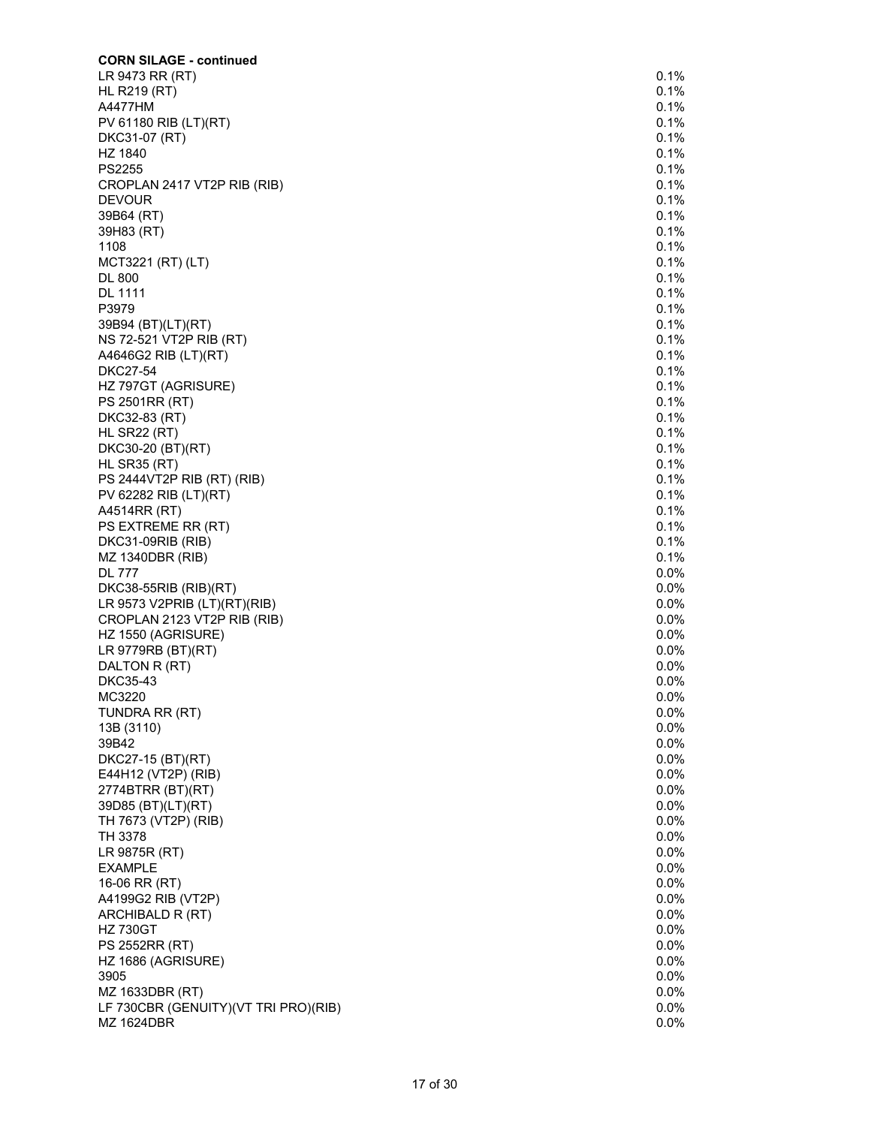| <b>CORN SILAGE - continued</b>                    |              |
|---------------------------------------------------|--------------|
| LR 9473 RR (RT)                                   | 0.1%         |
| <b>HL R219 (RT)</b>                               | 0.1%         |
| A4477HM                                           | 0.1%         |
| PV 61180 RIB (LT)(RT)                             | 0.1%         |
| DKC31-07 (RT)                                     | 0.1%         |
| HZ 1840                                           | 0.1%         |
| PS2255                                            | 0.1%         |
| CROPLAN 2417 VT2P RIB (RIB)                       | 0.1%         |
| <b>DEVOUR</b>                                     | 0.1%         |
| 39B64 (RT)                                        | 0.1%         |
| 39H83 (RT)                                        | 0.1%         |
| 1108                                              | 0.1%         |
| MCT3221 (RT) (LT)                                 | 0.1%         |
| <b>DL 800</b>                                     | 0.1%         |
| DL 1111                                           | 0.1%         |
| P3979                                             | 0.1%         |
| 39B94 (BT)(LT)(RT)                                | 0.1%         |
| NS 72-521 VT2P RIB (RT)                           | 0.1%         |
| A4646G2 RIB (LT)(RT)                              | 0.1%         |
| <b>DKC27-54</b>                                   | 0.1%         |
| HZ 797GT (AGRISURE)                               | 0.1%         |
| PS 2501RR (RT)                                    | 0.1%         |
| DKC32-83 (RT)                                     | 0.1%         |
| HL SR22 (RT)                                      | 0.1%         |
| DKC30-20 (BT)(RT)                                 | 0.1%         |
| HL SR35 (RT)                                      | 0.1%         |
| PS 2444VT2P RIB (RT) (RIB)                        | 0.1%         |
| PV 62282 RIB (LT)(RT)                             | 0.1%         |
| A4514RR (RT)                                      | 0.1%         |
| PS EXTREME RR (RT)                                | 0.1%         |
| DKC31-09RIB (RIB)                                 | 0.1%         |
| MZ 1340DBR (RIB)                                  | 0.1%         |
| <b>DL 777</b>                                     | 0.0%         |
|                                                   | 0.0%         |
| DKC38-55RIB (RIB)(RT)                             | 0.0%         |
| LR 9573 V2PRIB (LT)(RT)(RIB)                      | 0.0%         |
| CROPLAN 2123 VT2P RIB (RIB)<br>HZ 1550 (AGRISURE) | 0.0%         |
| LR 9779RB (BT)(RT)                                | 0.0%         |
| DALTON R (RT)                                     | 0.0%         |
|                                                   |              |
| DKC35-43<br>MC3220                                | 0.0%<br>0.0% |
|                                                   |              |
| TUNDRA RR (RT)                                    | 0.0%         |
| 13B (3110)                                        | 0.0%<br>0.0% |
| 39B42                                             | 0.0%         |
| DKC27-15 (BT)(RT)                                 | 0.0%         |
| E44H12 (VT2P) (RIB)                               |              |
| 2774BTRR (BT)(RT)                                 | 0.0%         |
| 39D85 (BT)(LT)(RT)                                | 0.0%         |
| TH 7673 (VT2P) (RIB)                              | 0.0%         |
| TH 3378                                           | 0.0%         |
| LR 9875R (RT)                                     | 0.0%         |
| <b>EXAMPLE</b>                                    | 0.0%         |
| 16-06 RR (RT)                                     | 0.0%         |
| A4199G2 RIB (VT2P)                                | 0.0%         |
| ARCHIBALD R (RT)                                  | 0.0%         |
| <b>HZ 730GT</b>                                   | 0.0%         |
| PS 2552RR (RT)                                    | 0.0%         |
| HZ 1686 (AGRISURE)                                | 0.0%         |
| 3905                                              | 0.0%         |
| MZ 1633DBR (RT)                                   | 0.0%         |
| LF 730CBR (GENUITY)(VT TRI PRO)(RIB)              | 0.0%         |
| <b>MZ 1624DBR</b>                                 | 0.0%         |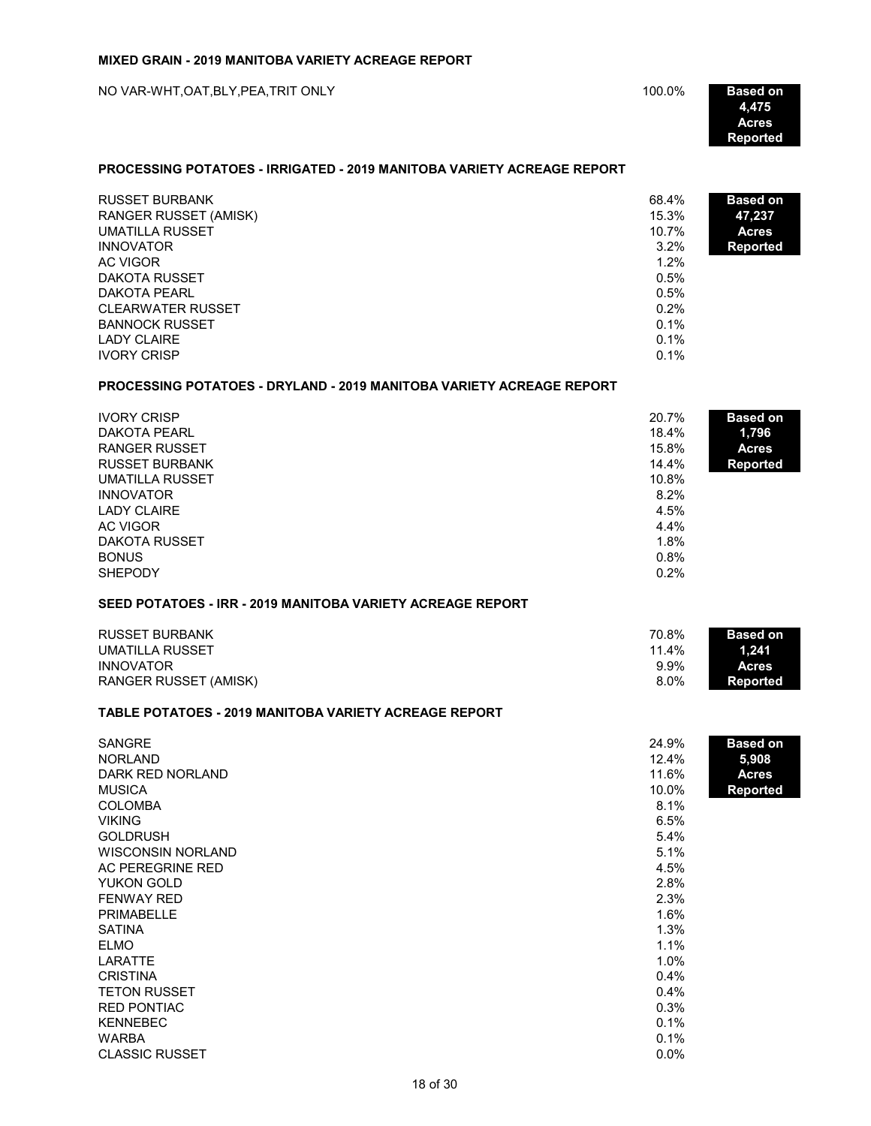NO VAR-WHT,OAT,BLY,PEA,TRIT ONLY **And the CONSTANT ONLY 4,475 100.0% Based on** 

**4,475 Acres Reported**

## **PROCESSING POTATOES - IRRIGATED - 2019 MANITOBA VARIETY ACREAGE REPORT**

| <b>RUSSET BURBANK</b>        | 68.4%   | <b>Based on</b> |
|------------------------------|---------|-----------------|
| <b>RANGER RUSSET (AMISK)</b> | 15.3%   | 47,237          |
| <b>UMATILLA RUSSET</b>       | 10.7%   | <b>Acres</b>    |
| <b>INNOVATOR</b>             | 3.2%    | <b>Reported</b> |
| AC VIGOR                     | 1.2%    |                 |
| DAKOTA RUSSET                | 0.5%    |                 |
| DAKOTA PEARL                 | 0.5%    |                 |
| <b>CLEARWATER RUSSET</b>     | 0.2%    |                 |
| <b>BANNOCK RUSSET</b>        | $0.1\%$ |                 |
| LADY CLAIRE                  | $0.1\%$ |                 |
| <b>IVORY CRISP</b>           | 0.1%    |                 |

#### **PROCESSING POTATOES - DRYLAND - 2019 MANITOBA VARIETY ACREAGE REPORT**

| <b>IVORY CRISP</b><br>DAKOTA PEARL<br>RANGER RUSSET<br><b>RUSSET BURBANK</b><br>UMATILLA RUSSET<br><b>INNOVATOR</b><br><b>LADY CLAIRE</b><br>AC VIGOR<br>DAKOTA RUSSET<br><b>BONUS</b> | 20.7%<br>18.4%<br>15.8%<br>14.4%<br>10.8%<br>8.2%<br>4.5%<br>4.4%<br>1.8%<br>0.8% | <b>Based on</b><br>1,796<br><b>Acres</b><br><b>Reported</b> |
|----------------------------------------------------------------------------------------------------------------------------------------------------------------------------------------|-----------------------------------------------------------------------------------|-------------------------------------------------------------|
| <b>SHEPODY</b>                                                                                                                                                                         | 0.2%                                                                              |                                                             |

# **SEED POTATOES - IRR - 2019 MANITOBA VARIETY ACREAGE REPORT**

| <b>RUSSET BURBANK</b> | 70.8%   | <b>Based on</b> |
|-----------------------|---------|-----------------|
| UMATILLA RUSSET       | 11.4%   | 1.241           |
| <b>INNOVATOR</b>      | $9.9\%$ | <b>Acres</b>    |
| RANGER RUSSET (AMISK) | 8.0%    | Reported        |

#### **TABLE POTATOES - 2019 MANITOBA VARIETY ACREAGE REPORT**

| <b>SANGRE</b>            | 24.9%   | <b>Based on</b> |
|--------------------------|---------|-----------------|
| <b>NORLAND</b>           | 12.4%   | 5,908           |
| DARK RED NORLAND         | 11.6%   | <b>Acres</b>    |
| <b>MUSICA</b>            | 10.0%   | <b>Reported</b> |
| <b>COLOMBA</b>           | 8.1%    |                 |
| <b>VIKING</b>            | 6.5%    |                 |
| <b>GOLDRUSH</b>          | 5.4%    |                 |
| <b>WISCONSIN NORLAND</b> | 5.1%    |                 |
| AC PEREGRINE RED         | 4.5%    |                 |
| YUKON GOLD               | 2.8%    |                 |
| <b>FENWAY RED</b>        | 2.3%    |                 |
| <b>PRIMABELLE</b>        | 1.6%    |                 |
| <b>SATINA</b>            | 1.3%    |                 |
| <b>ELMO</b>              | 1.1%    |                 |
| LARATTE                  | 1.0%    |                 |
| <b>CRISTINA</b>          | 0.4%    |                 |
| <b>TETON RUSSET</b>      | 0.4%    |                 |
| <b>RED PONTIAC</b>       | 0.3%    |                 |
| <b>KENNEBEC</b>          | 0.1%    |                 |
| <b>WARBA</b>             | 0.1%    |                 |
| <b>CLASSIC RUSSET</b>    | $0.0\%$ |                 |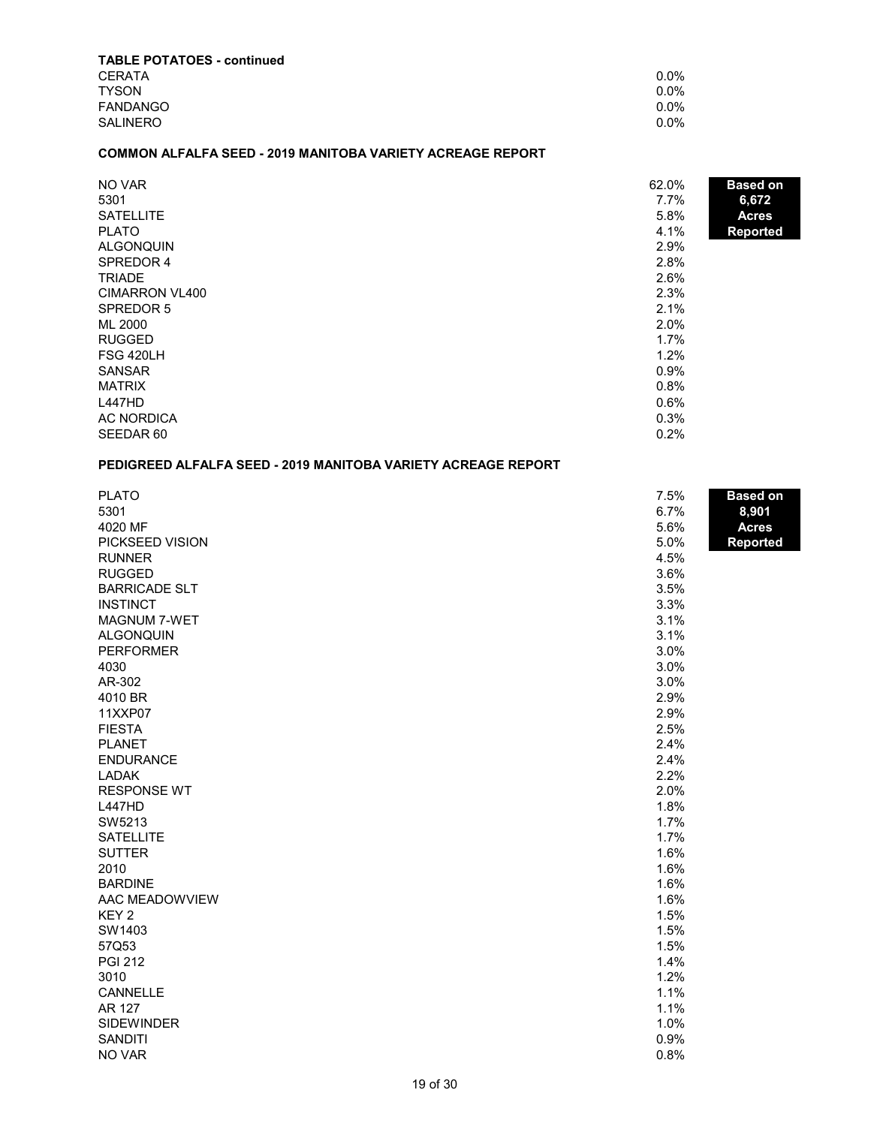| <b>TABLE POTATOES - continued</b> |         |
|-----------------------------------|---------|
| <b>CERATA</b>                     | $0.0\%$ |
| <b>TYSON</b>                      | $0.0\%$ |
| <b>FANDANGO</b>                   | $0.0\%$ |
| <b>SALINERO</b>                   | $0.0\%$ |

## **COMMON ALFALFA SEED - 2019 MANITOBA VARIETY ACREAGE REPORT**

| NO VAR<br>5301   | 62.0%<br>7.7% | <b>Based on</b><br>6,672 |
|------------------|---------------|--------------------------|
| <b>SATELLITE</b> | 5.8%          | <b>Acres</b>             |
| <b>PLATO</b>     | 4.1%          | <b>Reported</b>          |
| <b>ALGONQUIN</b> | 2.9%          |                          |
| SPREDOR 4        | 2.8%          |                          |
| <b>TRIADE</b>    | 2.6%          |                          |
| CIMARRON VL400   | 2.3%          |                          |
| SPREDOR 5        | 2.1%          |                          |
| ML 2000          | 2.0%          |                          |
| <b>RUGGED</b>    | 1.7%          |                          |
| FSG 420LH        | 1.2%          |                          |
| <b>SANSAR</b>    | 0.9%          |                          |
| <b>MATRIX</b>    | 0.8%          |                          |
| L447HD           | 0.6%          |                          |
| AC NORDICA       | 0.3%          |                          |
| SEEDAR 60        | 0.2%          |                          |

# **PEDIGREED ALFALFA SEED - 2019 MANITOBA VARIETY ACREAGE REPORT**

| 8,901<br><b>Acres</b><br>Reported |
|-----------------------------------|
|                                   |
|                                   |
|                                   |
|                                   |
|                                   |
|                                   |
|                                   |
|                                   |
|                                   |
|                                   |
|                                   |
|                                   |
|                                   |
|                                   |
|                                   |
|                                   |
|                                   |
|                                   |
|                                   |
|                                   |
|                                   |
|                                   |
|                                   |
|                                   |
|                                   |
|                                   |
|                                   |
|                                   |
|                                   |
|                                   |
|                                   |
|                                   |
|                                   |
|                                   |
|                                   |
|                                   |
|                                   |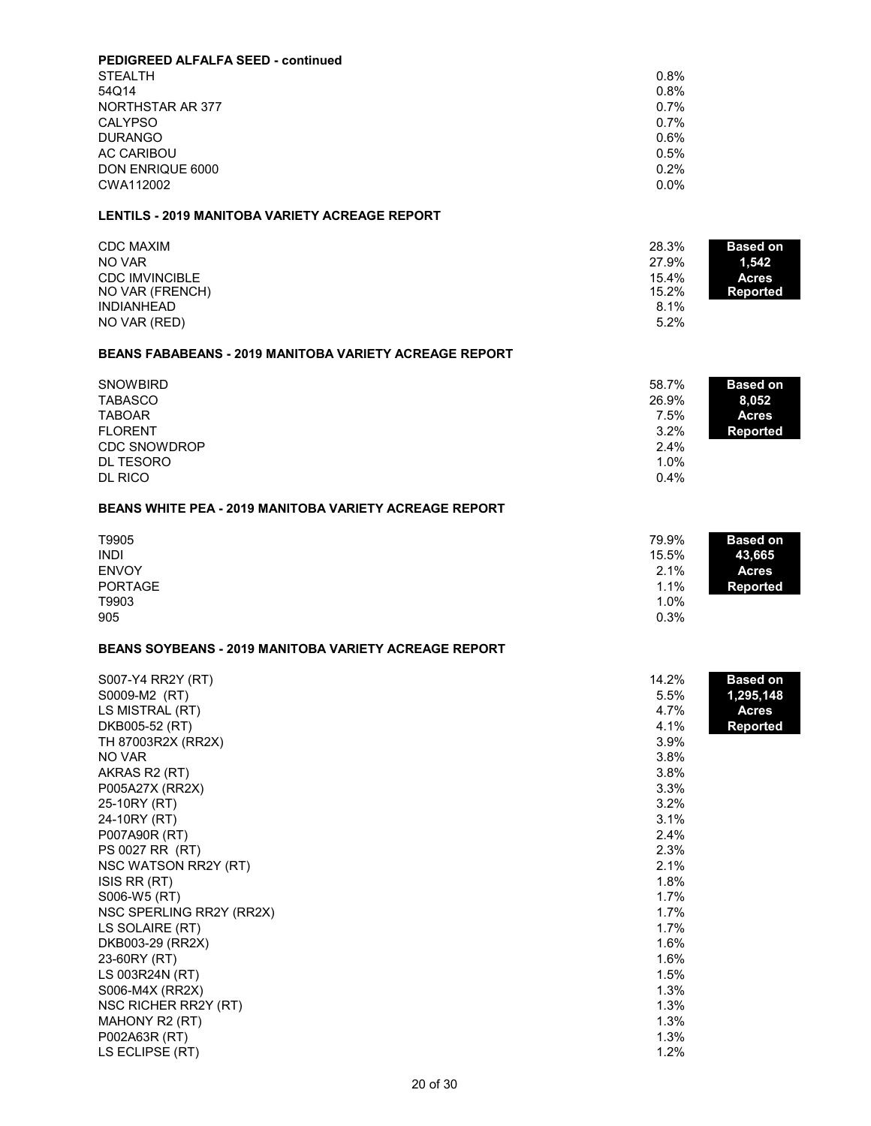| <b>PEDIGREED ALFALFA SEED - continued</b> |         |
|-------------------------------------------|---------|
| <b>STEALTH</b>                            | $0.8\%$ |
| 54Q14                                     | 0.8%    |
| NORTHSTAR AR 377                          | 0.7%    |
| <b>CALYPSO</b>                            | 0.7%    |
| <b>DURANGO</b>                            | 0.6%    |
| <b>AC CARIBOU</b>                         | 0.5%    |
| DON ENRIQUE 6000                          | 0.2%    |
| CWA112002                                 | $0.0\%$ |

## **LENTILS - 2019 MANITOBA VARIETY ACREAGE REPORT**

| <b>CDC MAXIM</b>      | 28.3%<br><b>Based on</b> |
|-----------------------|--------------------------|
| NO VAR                | 27.9%<br>1.542           |
| <b>CDC IMVINCIBLE</b> | 15.4%<br><b>Acres</b>    |
| NO VAR (FRENCH)       | 15.2%<br><b>Reported</b> |
| <b>INDIANHEAD</b>     | 8.1%                     |
| NO VAR (RED)          | 5.2%                     |

#### **BEANS FABABEANS - 2019 MANITOBA VARIETY ACREAGE REPORT**

| <b>SNOWBIRD</b>     | 58.7% | <b>Based on</b> |
|---------------------|-------|-----------------|
| <b>TABASCO</b>      | 26.9% | 8,052           |
| <b>TABOAR</b>       | 7.5%  | <b>Acres</b>    |
| <b>FLORENT</b>      | 3.2%  | <b>Reported</b> |
| <b>CDC SNOWDROP</b> | 2.4%  |                 |
| DL TESORO           | 1.0%  |                 |
| <b>DL RICO</b>      | 0.4%  |                 |

## **BEANS WHITE PEA - 2019 MANITOBA VARIETY ACREAGE REPORT**

| T9905<br><b>INDI</b>           | 79.9%<br><b>Based on</b><br>15.5%<br>43,665     |  |
|--------------------------------|-------------------------------------------------|--|
| <b>ENVOY</b><br><b>PORTAGE</b> | 2.1%<br><b>Acres</b><br>1.1%<br><b>Reported</b> |  |
| T9903                          | $1.0\%$                                         |  |
| 905                            | 0.3%                                            |  |

## **BEANS SOYBEANS - 2019 MANITOBA VARIETY ACREAGE REPORT**

| S007-Y4 RR2Y (RT)        | 14.2% | <b>Based on</b> |
|--------------------------|-------|-----------------|
| S0009-M2 (RT)            | 5.5%  | 1,295,148       |
| LS MISTRAL (RT)          | 4.7%  | <b>Acres</b>    |
| DKB005-52 (RT)           | 4.1%  | <b>Reported</b> |
| TH 87003R2X (RR2X)       | 3.9%  |                 |
| NO VAR                   | 3.8%  |                 |
| AKRAS R2 (RT)            | 3.8%  |                 |
| P005A27X (RR2X)          | 3.3%  |                 |
| 25-10RY (RT)             | 3.2%  |                 |
| 24-10RY (RT)             | 3.1%  |                 |
| P007A90R (RT)            | 2.4%  |                 |
| PS 0027 RR (RT)          | 2.3%  |                 |
| NSC WATSON RR2Y (RT)     | 2.1%  |                 |
| ISIS RR (RT)             | 1.8%  |                 |
| S006-W5 (RT)             | 1.7%  |                 |
| NSC SPERLING RR2Y (RR2X) | 1.7%  |                 |
| LS SOLAIRE (RT)          | 1.7%  |                 |
| DKB003-29 (RR2X)         | 1.6%  |                 |
| 23-60RY (RT)             | 1.6%  |                 |
| LS 003R24N (RT)          | 1.5%  |                 |
| S006-M4X (RR2X)          | 1.3%  |                 |
| NSC RICHER RR2Y (RT)     | 1.3%  |                 |
| MAHONY R2 (RT)           | 1.3%  |                 |
| P002A63R (RT)            | 1.3%  |                 |
| LS ECLIPSE (RT)          | 1.2%  |                 |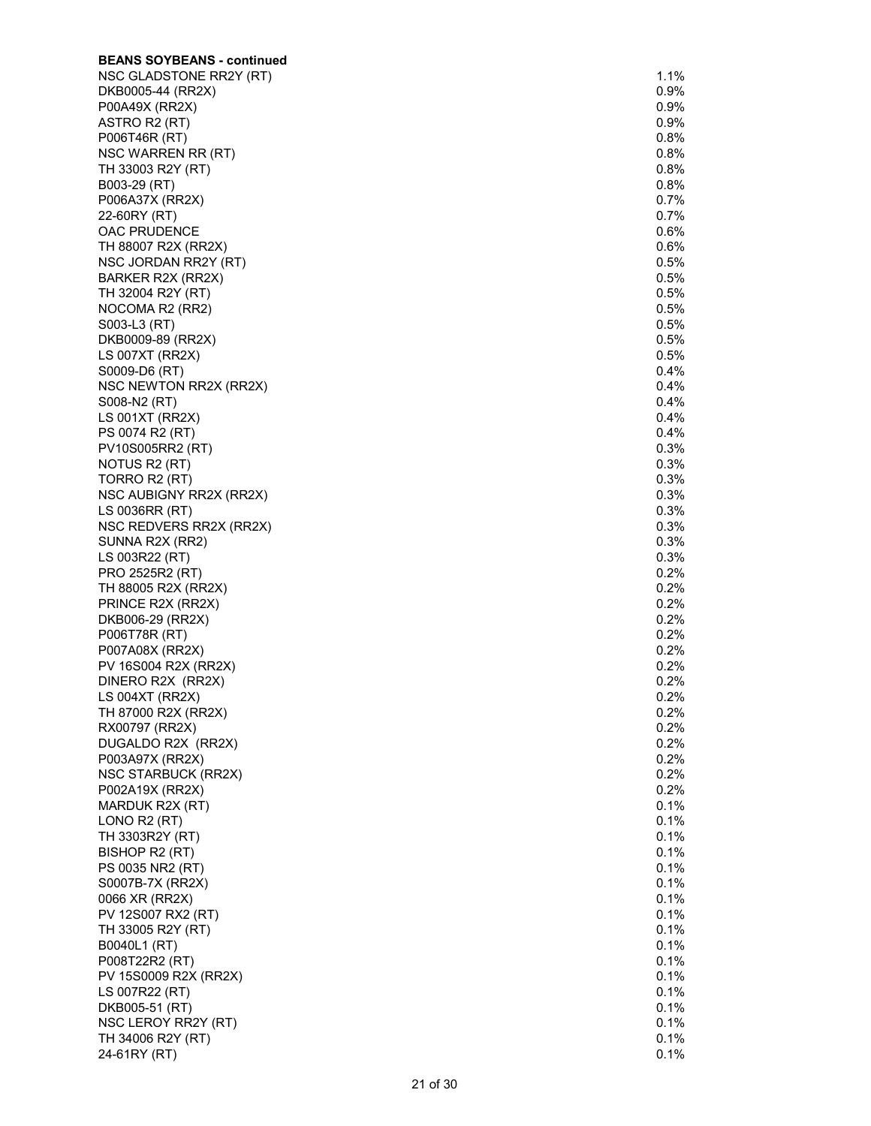| <b>BEANS SOYBEANS - continued</b>         |              |
|-------------------------------------------|--------------|
| NSC GLADSTONE RR2Y (RT)                   | 1.1%         |
| DKB0005-44 (RR2X)                         | $0.9\%$      |
| P00A49X (RR2X)                            | 0.9%         |
| ASTRO R2 (RT)                             | 0.9%         |
| P006T46R (RT)                             | $0.8\%$      |
| NSC WARREN RR (RT)                        | 0.8%         |
| TH 33003 R2Y (RT)                         | 0.8%         |
| B003-29 (RT)                              | 0.8%         |
| P006A37X (RR2X)                           | 0.7%         |
| 22-60RY (RT)                              | 0.7%         |
| OAC PRUDENCE                              | 0.6%         |
| TH 88007 R2X (RR2X)                       | 0.6%<br>0.5% |
| NSC JORDAN RR2Y (RT)<br>BARKER R2X (RR2X) | 0.5%         |
| TH 32004 R2Y (RT)                         | 0.5%         |
| NOCOMA R2 (RR2)                           | $0.5\%$      |
| S003-L3 (RT)                              | 0.5%         |
| DKB0009-89 (RR2X)                         | 0.5%         |
| LS 007XT (RR2X)                           | 0.5%         |
| S0009-D6 (RT)                             | 0.4%         |
| NSC NEWTON RR2X (RR2X)                    | 0.4%         |
| S008-N2 (RT)                              | 0.4%         |
| LS 001XT (RR2X)                           | 0.4%         |
| PS 0074 R2 (RT)                           | 0.4%         |
| PV10S005RR2 (RT)                          | 0.3%         |
| NOTUS R2 (RT)                             | 0.3%         |
| TORRO R2 (RT)                             | 0.3%         |
| NSC AUBIGNY RR2X (RR2X)                   | 0.3%         |
| LS 0036RR (RT)                            | 0.3%         |
| NSC REDVERS RR2X (RR2X)                   | 0.3%         |
| SUNNA R2X (RR2)                           | 0.3%         |
| LS 003R22 (RT)                            | 0.3%         |
| PRO 2525R2 (RT)                           | $0.2\%$      |
| TH 88005 R2X (RR2X)                       | 0.2%         |
| PRINCE R2X (RR2X)<br>DKB006-29 (RR2X)     | 0.2%<br>0.2% |
| P006T78R (RT)                             | 0.2%         |
| P007A08X (RR2X)                           | 0.2%         |
| PV 16S004 R2X (RR2X)                      | 0.2%         |
| DINERO R2X (RR2X)                         | 0.2%         |
| LS 004XT (RR2X)                           | 0.2%         |
| TH 87000 R2X (RR2X)                       | 0.2%         |
| RX00797 (RR2X)                            | 0.2%         |
| DUGALDO R2X (RR2X)                        | 0.2%         |
| P003A97X (RR2X)                           | 0.2%         |
| NSC STARBUCK (RR2X)                       | 0.2%         |
| P002A19X (RR2X)                           | 0.2%         |
| MARDUK R2X (RT)                           | 0.1%         |
| LONO R2 (RT)                              | 0.1%         |
| TH 3303R2Y (RT)                           | 0.1%         |
| BISHOP R2 (RT)                            | 0.1%         |
| PS 0035 NR2 (RT)                          | 0.1%         |
| S0007B-7X (RR2X)                          | 0.1%         |
| 0066 XR (RR2X)                            | 0.1%         |
| PV 12S007 RX2 (RT)                        | 0.1%         |
| TH 33005 R2Y (RT)                         | 0.1%         |
| B0040L1 (RT)                              | 0.1%         |
| P008T22R2 (RT)                            | 0.1%         |
| PV 15S0009 R2X (RR2X)                     | 0.1%<br>0.1% |
| LS 007R22 (RT)                            | 0.1%         |
| DKB005-51 (RT)<br>NSC LEROY RR2Y (RT)     | 0.1%         |
| TH 34006 R2Y (RT)                         | 0.1%         |
| 24-61RY (RT)                              | 0.1%         |
|                                           |              |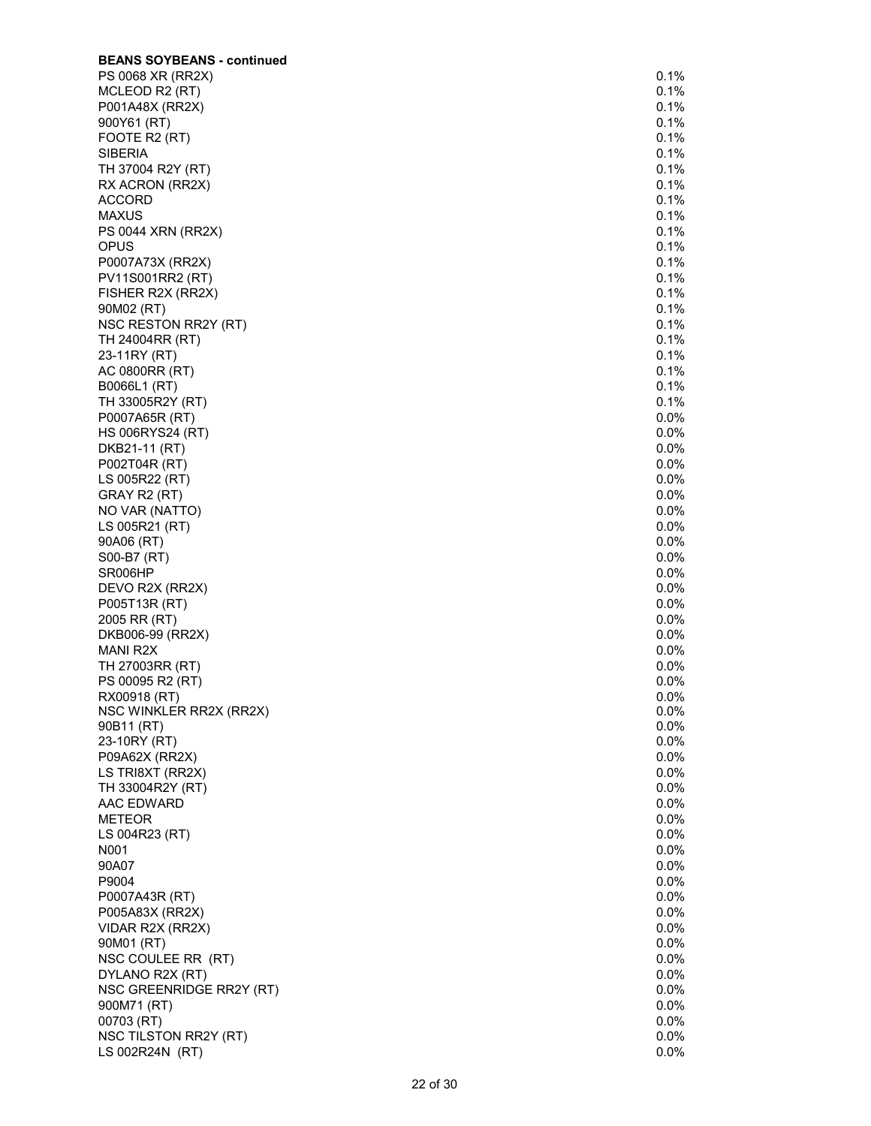| <b>BEANS SOYBEANS - continued</b> |         |
|-----------------------------------|---------|
| PS 0068 XR (RR2X)                 | 0.1%    |
| MCLEOD R2 (RT)                    | 0.1%    |
| P001A48X (RR2X)                   | 0.1%    |
| 900Y61 (RT)                       | 0.1%    |
| FOOTE R2 (RT)                     | 0.1%    |
| SIBERIA                           | 0.1%    |
| TH 37004 R2Y (RT)                 | 0.1%    |
| RX ACRON (RR2X)                   | 0.1%    |
| <b>ACCORD</b>                     | 0.1%    |
| <b>MAXUS</b>                      | 0.1%    |
| PS 0044 XRN (RR2X)                | 0.1%    |
| <b>OPUS</b>                       | 0.1%    |
| P0007A73X (RR2X)                  | 0.1%    |
|                                   |         |
| PV11S001RR2 (RT)                  | 0.1%    |
| FISHER R2X (RR2X)                 | 0.1%    |
| 90M02 (RT)                        | 0.1%    |
| NSC RESTON RR2Y (RT)              | 0.1%    |
| TH 24004RR (RT)                   | 0.1%    |
| 23-11RY (RT)                      | 0.1%    |
| AC 0800RR (RT)                    | 0.1%    |
| B0066L1 (RT)                      | 0.1%    |
| TH 33005R2Y (RT)                  | 0.1%    |
| P0007A65R (RT)                    | 0.0%    |
| <b>HS 006RYS24 (RT)</b>           | $0.0\%$ |
| DKB21-11 (RT)                     | $0.0\%$ |
| P002T04R (RT)                     | 0.0%    |
| LS 005R22 (RT)                    | 0.0%    |
|                                   | $0.0\%$ |
| GRAY R2 (RT)                      |         |
| NO VAR (NATTO)                    | $0.0\%$ |
| LS 005R21 (RT)                    | 0.0%    |
| 90A06 (RT)                        | $0.0\%$ |
| S00-B7 (RT)                       | 0.0%    |
| SR006HP                           | 0.0%    |
| DEVO R2X (RR2X)                   | 0.0%    |
| P005T13R (RT)                     | $0.0\%$ |
| 2005 RR (RT)                      | $0.0\%$ |
| DKB006-99 (RR2X)                  | 0.0%    |
| MANI R2X                          | $0.0\%$ |
| TH 27003RR (RT)                   | $0.0\%$ |
| PS 00095 R2 (RT)                  | 0.0%    |
| RX00918 (RT)                      | $0.0\%$ |
| NSC WINKLER RR2X (RR2X)           | 0.0%    |
| 90B11 (RT)                        | $0.0\%$ |
| 23-10RY (RT)                      | 0.0%    |
| P09A62X (RR2X)                    | 0.0%    |
| LS TRI8XT (RR2X)                  | 0.0%    |
| TH 33004R2Y (RT)                  | 0.0%    |
| AAC EDWARD                        | 0.0%    |
| <b>METEOR</b>                     | 0.0%    |
|                                   | 0.0%    |
| LS 004R23 (RT)                    |         |
| N001                              | 0.0%    |
| 90A07                             | 0.0%    |
| P9004                             | 0.0%    |
| P0007A43R (RT)                    | 0.0%    |
| P005A83X (RR2X)                   | 0.0%    |
| VIDAR R2X (RR2X)                  | 0.0%    |
| 90M01 (RT)                        | 0.0%    |
| NSC COULEE RR (RT)                | 0.0%    |
| DYLANO R2X (RT)                   | 0.0%    |
| NSC GREENRIDGE RR2Y (RT)          | 0.0%    |
| 900M71 (RT)                       | 0.0%    |
| 00703 (RT)                        | 0.0%    |
| NSC TILSTON RR2Y (RT)             | $0.0\%$ |
| LS 002R24N (RT)                   | 0.0%    |
|                                   |         |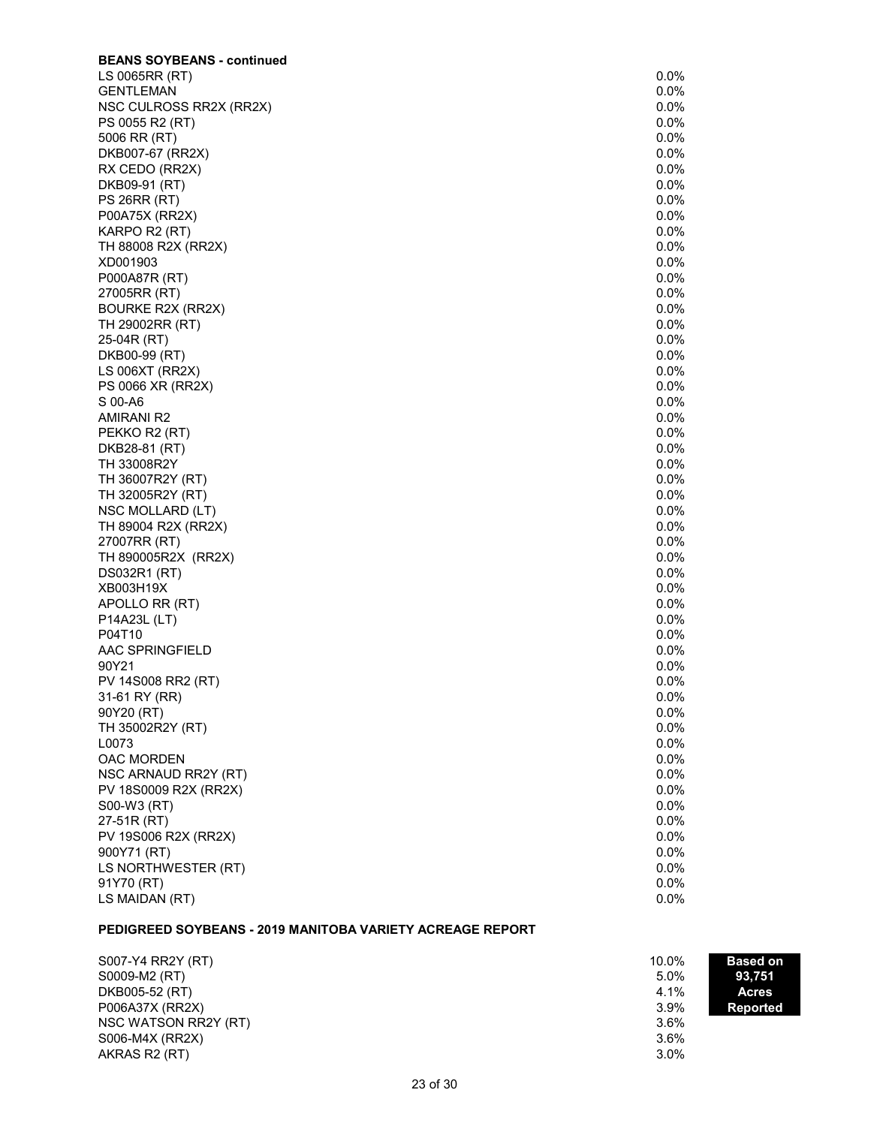| <b>BEANS SOYBEANS - continued</b> |      |
|-----------------------------------|------|
| LS 0065RR (RT)                    | 0.0% |
| <b>GENTLEMAN</b>                  | 0.0% |
| NSC CULROSS RR2X (RR2X)           | 0.0% |
| PS 0055 R2 (RT)                   | 0.0% |
| 5006 RR (RT)                      | 0.0% |
| DKB007-67 (RR2X)                  | 0.0% |
| RX CEDO (RR2X)                    | 0.0% |
| DKB09-91 (RT)                     | 0.0% |
| <b>PS 26RR (RT)</b>               | 0.0% |
| P00A75X (RR2X)                    | 0.0% |
| KARPO R2 (RT)                     | 0.0% |
| TH 88008 R2X (RR2X)               | 0.0% |
| XD001903                          | 0.0% |
| P000A87R (RT)                     | 0.0% |
| 27005RR (RT)                      | 0.0% |
| BOURKE R2X (RR2X)                 | 0.0% |
| TH 29002RR (RT)                   | 0.0% |
| 25-04R (RT)                       | 0.0% |
| DKB00-99 (RT)                     | 0.0% |
| LS 006XT (RR2X)                   | 0.0% |
| PS 0066 XR (RR2X)                 | 0.0% |
| S 00-A6                           | 0.0% |
| AMIRANI R2                        | 0.0% |
| PEKKO R2 (RT)                     | 0.0% |
| DKB28-81 (RT)                     | 0.0% |
| TH 33008R2Y                       | 0.0% |
| TH 36007R2Y (RT)                  | 0.0% |
| TH 32005R2Y (RT)                  | 0.0% |
| NSC MOLLARD (LT)                  | 0.0% |
| TH 89004 R2X (RR2X)               | 0.0% |
| 27007RR (RT)                      | 0.0% |
| TH 890005R2X (RR2X)               | 0.0% |
| DS032R1 (RT)                      | 0.0% |
| XB003H19X                         | 0.0% |
| APOLLO RR (RT)                    | 0.0% |
| P14A23L (LT)                      | 0.0% |
| P04T10                            | 0.0% |
| AAC SPRINGFIELD                   | 0.0% |
| 90Y21                             | 0.0% |
| PV 14S008 RR2 (RT)                | 0.0% |
| 31-61 RY (RR)                     | 0.0% |
| 90Y20 (RT)                        | 0.0% |
| TH 35002R2Y (RT)                  | 0.0% |
| L0073                             | 0.0% |
| OAC MORDEN                        | 0.0% |
| NSC ARNAUD RR2Y (RT)              | 0.0% |
| PV 18S0009 R2X (RR2X)             | 0.0% |
| S00-W3 (RT)                       | 0.0% |
| 27-51R (RT)                       | 0.0% |
| PV 19S006 R2X (RR2X)              | 0.0% |
| 900Y71 (RT)                       | 0.0% |
| LS NORTHWESTER (RT)               | 0.0% |
| 91Y70 (RT)                        | 0.0% |
| LS MAIDAN (RT)                    | 0.0% |

# **PEDIGREED SOYBEANS - 2019 MANITOBA VARIETY ACREAGE REPORT**

| S007-Y4 RR2Y (RT)    | 10.0% | <b>Based on</b> |
|----------------------|-------|-----------------|
| S0009-M2 (RT)        | 5.0%  | 93.751          |
| DKB005-52 (RT)       | 4.1%  | <b>Acres</b>    |
| P006A37X (RR2X)      | 3.9%  | Reported        |
| NSC WATSON RR2Y (RT) | 3.6%  |                 |
| S006-M4X (RR2X)      | 3.6%  |                 |
| AKRAS R2 (RT)        | 3.0%  |                 |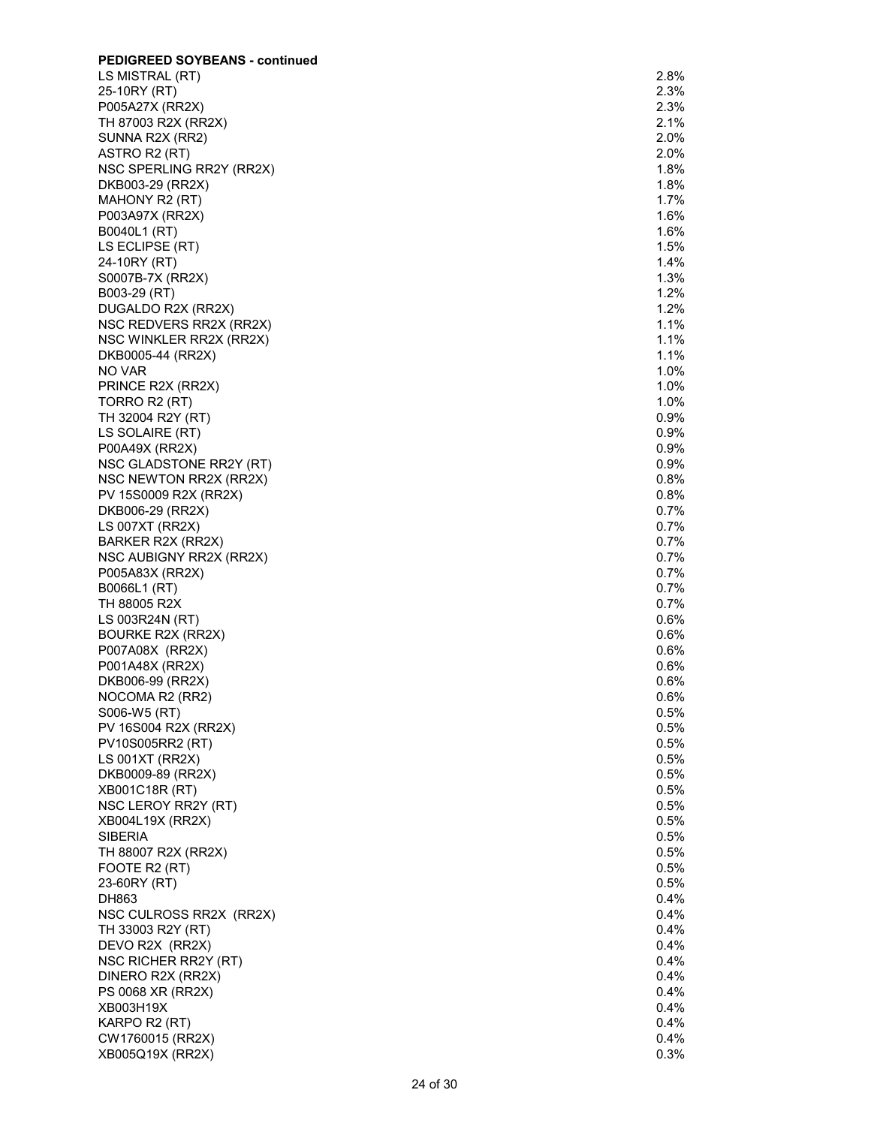| <b>PEDIGREED SOYBEANS - continued</b> |         |
|---------------------------------------|---------|
| LS MISTRAL (RT)                       | 2.8%    |
| 25-10RY (RT)                          | 2.3%    |
| P005A27X (RR2X)                       | 2.3%    |
| TH 87003 R2X (RR2X)                   | 2.1%    |
| SUNNA R2X (RR2)                       | 2.0%    |
| ASTRO R2 (RT)                         | 2.0%    |
| NSC SPERLING RR2Y (RR2X)              | 1.8%    |
| DKB003-29 (RR2X)                      | 1.8%    |
| MAHONY R2 (RT)                        | 1.7%    |
| P003A97X (RR2X)                       | 1.6%    |
| B0040L1 (RT)                          | 1.6%    |
| LS ECLIPSE (RT)                       | 1.5%    |
| 24-10RY (RT)                          | 1.4%    |
| S0007B-7X (RR2X)                      | 1.3%    |
| B003-29 (RT)                          | 1.2%    |
| DUGALDO R2X (RR2X)                    | 1.2%    |
| NSC REDVERS RR2X (RR2X)               | 1.1%    |
| NSC WINKLER RR2X (RR2X)               | 1.1%    |
| DKB0005-44 (RR2X)                     | 1.1%    |
| NO VAR                                | 1.0%    |
| PRINCE R2X (RR2X)                     | 1.0%    |
| TORRO R2 (RT)                         | 1.0%    |
| TH 32004 R2Y (RT)                     | 0.9%    |
| LS SOLAIRE (RT)                       | $0.9\%$ |
| P00A49X (RR2X)                        | 0.9%    |
| NSC GLADSTONE RR2Y (RT)               | 0.9%    |
| NSC NEWTON RR2X (RR2X)                | 0.8%    |
| PV 15S0009 R2X (RR2X)                 | 0.8%    |
| DKB006-29 (RR2X)                      | 0.7%    |
| <b>LS 007XT (RR2X)</b>                | 0.7%    |
| BARKER R2X (RR2X)                     | 0.7%    |
| NSC AUBIGNY RR2X (RR2X)               | 0.7%    |
| P005A83X (RR2X)                       | 0.7%    |
| B0066L1 (RT)                          | 0.7%    |
| TH 88005 R2X                          | 0.7%    |
| LS 003R24N (RT)                       | 0.6%    |
| BOURKE R2X (RR2X)                     | $0.6\%$ |
| P007A08X (RR2X)                       | $0.6\%$ |
| P001A48X (RR2X)                       | $0.6\%$ |
| DKB006-99 (RR2X)                      | 0.6%    |
| NOCOMA R2 (RR2)                       | 0.6%    |
| S006-W5 (RT)                          | 0.5%    |
| PV 16S004 R2X (RR2X)                  | 0.5%    |
| PV10S005RR2 (RT)                      | 0.5%    |
| LS 001XT (RR2X)                       | 0.5%    |
| DKB0009-89 (RR2X)                     | 0.5%    |
| XB001C18R (RT)                        | 0.5%    |
| NSC LEROY RR2Y (RT)                   | 0.5%    |
| XB004L19X (RR2X)                      | 0.5%    |
| <b>SIBERIA</b>                        | 0.5%    |
| TH 88007 R2X (RR2X)                   | 0.5%    |
| FOOTE R2 (RT)                         | 0.5%    |
| 23-60RY (RT)                          | 0.5%    |
| DH863                                 | 0.4%    |
| NSC CULROSS RR2X (RR2X)               | 0.4%    |
| TH 33003 R2Y (RT)                     | 0.4%    |
| DEVO R2X (RR2X)                       | $0.4\%$ |
| NSC RICHER RR2Y (RT)                  | 0.4%    |
| DINERO R2X (RR2X)                     | 0.4%    |
| PS 0068 XR (RR2X)                     | 0.4%    |
| XB003H19X                             | 0.4%    |
| KARPO R2 (RT)                         | 0.4%    |
| CW1760015 (RR2X)                      | 0.4%    |
| XB005Q19X (RR2X)                      | 0.3%    |
|                                       |         |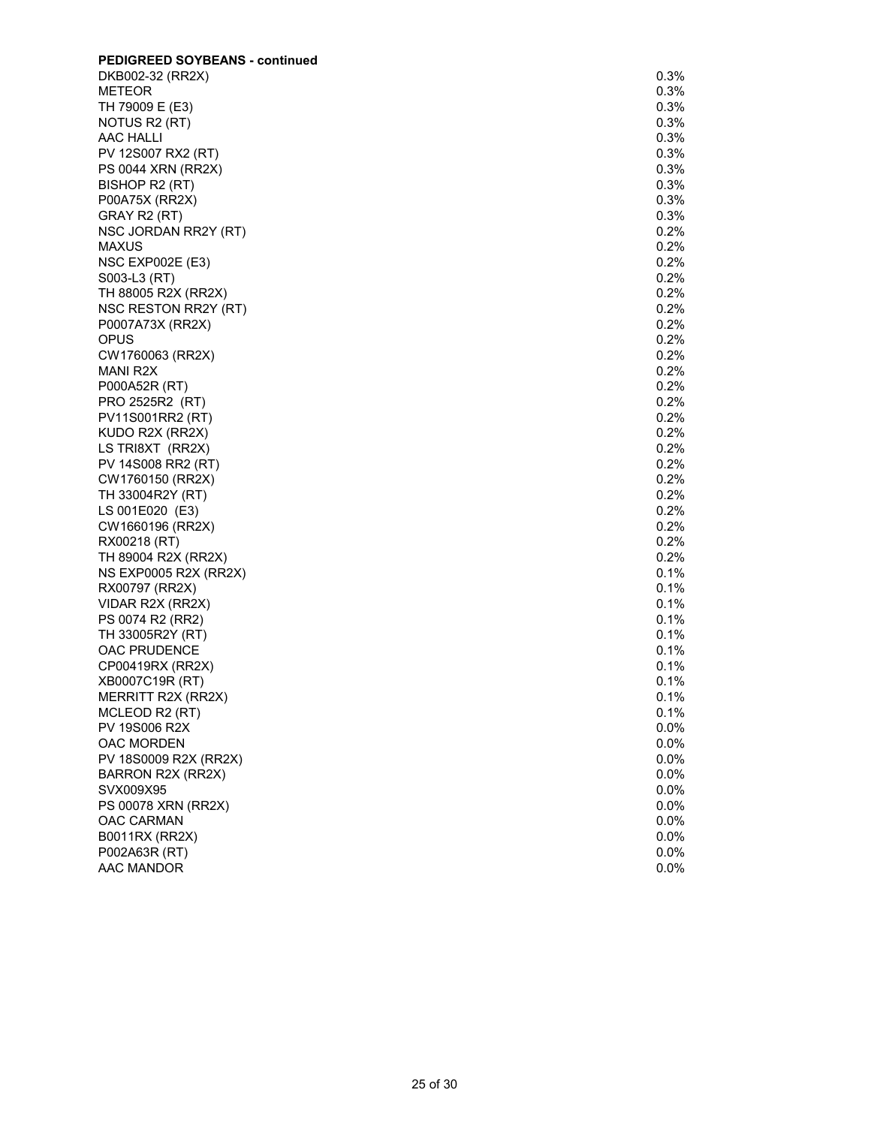| <b>PEDIGREED SOYBEANS - continued</b> |      |
|---------------------------------------|------|
| DKB002-32 (RR2X)                      | 0.3% |
| METEOR                                | 0.3% |
| TH 79009 E (E3)                       | 0.3% |
| NOTUS R2 (RT)                         | 0.3% |
| <b>AAC HALLI</b>                      | 0.3% |
| PV 12S007 RX2 (RT)                    | 0.3% |
| PS 0044 XRN (RR2X)                    | 0.3% |
| BISHOP R2 (RT)                        | 0.3% |
| P00A75X (RR2X)                        | 0.3% |
| GRAY R2 (RT)                          | 0.3% |
| NSC JORDAN RR2Y (RT)                  | 0.2% |
| <b>MAXUS</b>                          | 0.2% |
| <b>NSC EXP002E (E3)</b>               | 0.2% |
| S003-L3 (RT)                          | 0.2% |
| TH 88005 R2X (RR2X)                   | 0.2% |
| NSC RESTON RR2Y (RT)                  | 0.2% |
| P0007A73X (RR2X)                      | 0.2% |
| OPUS                                  | 0.2% |
| CW1760063 (RR2X)                      | 0.2% |
| MANI R2X                              | 0.2% |
| P000A52R (RT)                         | 0.2% |
| PRO 2525R2 (RT)                       | 0.2% |
| PV11S001RR2 (RT)                      | 0.2% |
| KUDO R2X (RR2X)                       | 0.2% |
| LS TRI8XT (RR2X)                      | 0.2% |
| PV 14S008 RR2 (RT)                    | 0.2% |
| CW1760150 (RR2X)                      | 0.2% |
| TH 33004R2Y (RT)                      | 0.2% |
| LS 001E020 (E3)                       | 0.2% |
| CW1660196 (RR2X)                      | 0.2% |
| RX00218 (RT)                          | 0.2% |
| TH 89004 R2X (RR2X)                   | 0.2% |
| NS EXP0005 R2X (RR2X)                 | 0.1% |
| RX00797 (RR2X)                        | 0.1% |
| VIDAR R2X (RR2X)                      | 0.1% |
| PS 0074 R2 (RR2)                      | 0.1% |
| TH 33005R2Y (RT)                      | 0.1% |
| <b>OAC PRUDENCE</b>                   | 0.1% |
| CP00419RX (RR2X)                      | 0.1% |
| XB0007C19R (RT)                       | 0.1% |
| MERRITT R2X (RR2X)                    | 0.1% |
| MCLEOD R2 (RT)                        | 0.1% |
| PV 19S006 R2X                         | 0.0% |
| OAC MORDEN                            | 0.0% |
| PV 18S0009 R2X (RR2X)                 | 0.0% |
| BARRON R2X (RR2X)                     | 0.0% |
| SVX009X95                             | 0.0% |
| PS 00078 XRN (RR2X)                   | 0.0% |
| OAC CARMAN                            | 0.0% |
| B0011RX (RR2X)                        | 0.0% |
| P002A63R (RT)                         | 0.0% |
| AAC MANDOR                            | 0.0% |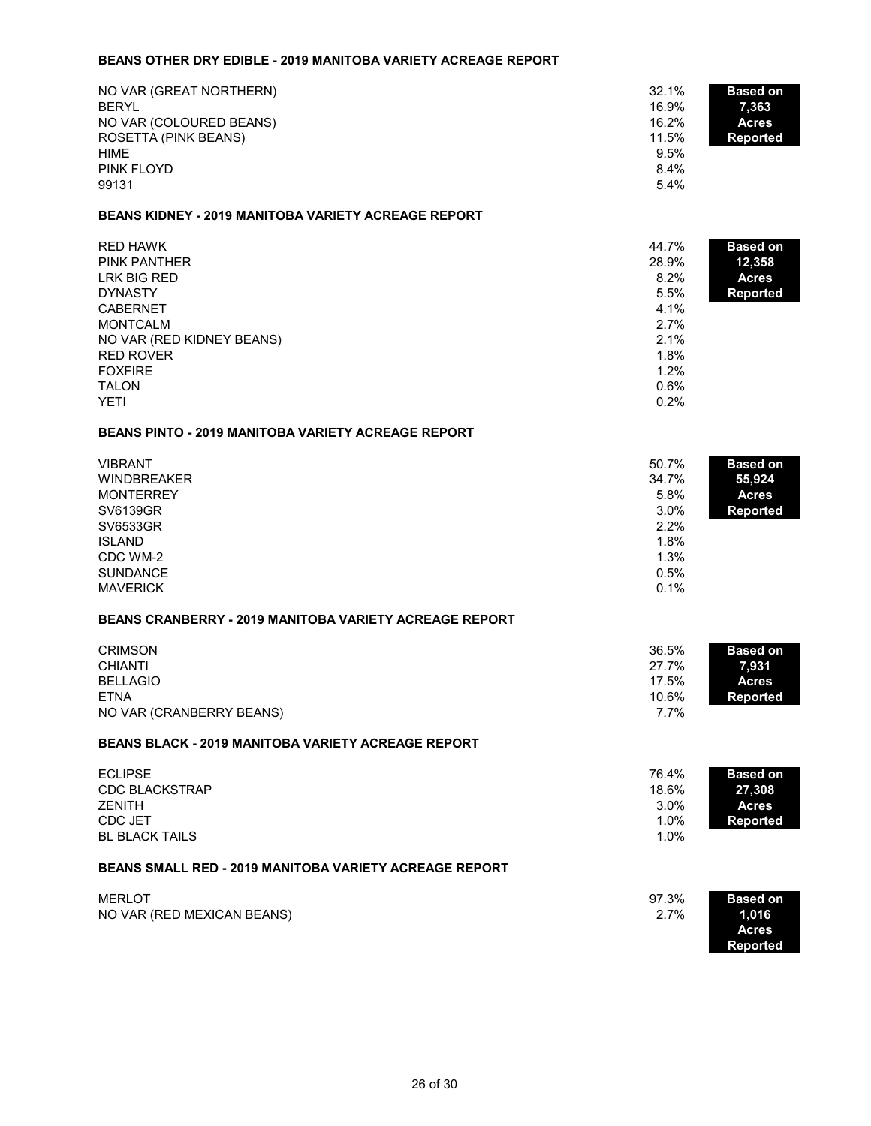#### **BEANS OTHER DRY EDIBLE - 2019 MANITOBA VARIETY ACREAGE REPORT**

| NO VAR (GREAT NORTHERN)<br><b>BERYL</b> | 32.1%<br>16.9% | <b>Based on</b><br>7,363 |
|-----------------------------------------|----------------|--------------------------|
| NO VAR (COLOURED BEANS)                 | 16.2%          | <b>Acres</b>             |
| ROSETTA (PINK BEANS)                    | 11.5%          | <b>Reported</b>          |
| HIME                                    | 9.5%           |                          |
| <b>PINK FLOYD</b>                       | 8.4%           |                          |
| 99131                                   | 5.4%           |                          |

#### **BEANS KIDNEY - 2019 MANITOBA VARIETY ACREAGE REPORT**

| RED HAWK<br><b>PINK PANTHER</b> | 44.7%<br>28.9% | <b>Based on</b><br>12,358 |
|---------------------------------|----------------|---------------------------|
| LRK BIG RED                     | 8.2%           | <b>Acres</b>              |
| <b>DYNASTY</b>                  | 5.5%           | <b>Reported</b>           |
| <b>CABERNET</b>                 | 4.1%           |                           |
| <b>MONTCALM</b>                 | 2.7%           |                           |
| NO VAR (RED KIDNEY BEANS)       | 2.1%           |                           |
| RED ROVER                       | 1.8%           |                           |
| <b>FOXFIRE</b>                  | 1.2%           |                           |
| <b>TALON</b>                    | 0.6%           |                           |
| <b>YETI</b>                     | 0.2%           |                           |

#### **BEANS PINTO - 2019 MANITOBA VARIETY ACREAGE REPORT**

| <b>VIBRANT</b>     | 50.7%   | <b>Based on</b> |
|--------------------|---------|-----------------|
| <b>WINDBREAKER</b> | 34.7%   | 55,924          |
| <b>MONTERREY</b>   | 5.8%    | <b>Acres</b>    |
| SV6139GR           | $3.0\%$ | <b>Reported</b> |
| SV6533GR           | 2.2%    |                 |
| <b>ISLAND</b>      | 1.8%    |                 |
| CDC WM-2           | 1.3%    |                 |
| <b>SUNDANCE</b>    | 0.5%    |                 |
| <b>MAVERICK</b>    | 0.1%    |                 |

## **BEANS CRANBERRY - 2019 MANITOBA VARIETY ACREAGE REPORT**

| <b>CRIMSON</b>           | 36.5% | <b>Based on</b> |
|--------------------------|-------|-----------------|
| <b>CHIANTI</b>           | 27.7% | 7.931           |
| <b>BELLAGIO</b>          | 17.5% | <b>Acres</b>    |
| ETNA                     | 10.6% | Reported        |
| NO VAR (CRANBERRY BEANS) | 7.7%  |                 |

#### **BEANS BLACK - 2019 MANITOBA VARIETY ACREAGE REPORT**

| 76.4% | <b>Based on</b> |
|-------|-----------------|
| 18.6% | 27,308          |
| 3.0%  | <b>Acres</b>    |
| 1.0%  | Reported        |
| 1.0%  |                 |
|       |                 |

## **BEANS SMALL RED - 2019 MANITOBA VARIETY ACREAGE REPORT**

| <b>MERLOT</b>              | 97.3% | <b>Based on</b> |
|----------------------------|-------|-----------------|
| NO VAR (RED MEXICAN BEANS) | 2.7%  | 1,016           |
|                            |       | <b>Acres</b>    |
|                            |       | Reported        |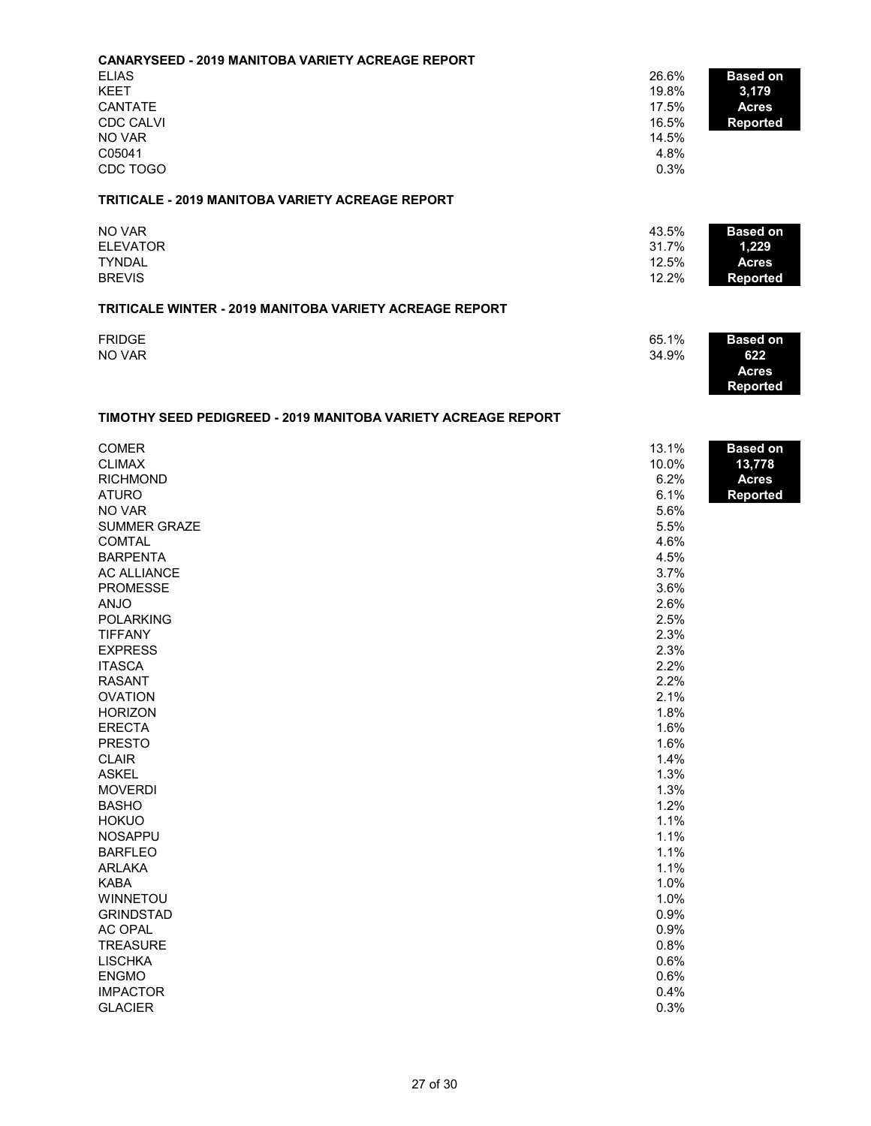| <b>CANARYSEED - 2019 MANITOBA VARIETY ACREAGE REPORT</b>       |       |                 |
|----------------------------------------------------------------|-------|-----------------|
| <b>ELIAS</b>                                                   | 26.6% | <b>Based on</b> |
| <b>KEET</b>                                                    | 19.8% | 3,179           |
| <b>CANTATE</b>                                                 | 17.5% | <b>Acres</b>    |
| <b>CDC CALVI</b>                                               | 16.5% | <b>Reported</b> |
| NO VAR                                                         | 14.5% |                 |
| C05041                                                         | 4.8%  |                 |
| CDC TOGO                                                       | 0.3%  |                 |
| <b>TRITICALE - 2019 MANITOBA VARIETY ACREAGE REPORT</b>        |       |                 |
| NO VAR                                                         | 43.5% | <b>Based on</b> |
| <b>ELEVATOR</b>                                                | 31.7% | 1,229           |
| <b>TYNDAL</b>                                                  | 12.5% | <b>Acres</b>    |
| <b>BREVIS</b>                                                  | 12.2% | <b>Reported</b> |
| <b>TRITICALE WINTER - 2019 MANITOBA VARIETY ACREAGE REPORT</b> |       |                 |
| <b>FRIDGE</b>                                                  | 65.1% | <b>Based on</b> |
| NO VAR                                                         | 34.9% | 622<br>Acres    |

**Reported**

# **TIMOTHY SEED PEDIGREED - 2019 MANITOBA VARIETY ACREAGE REPORT**

| <b>COMER</b>        | 13.1% | <b>Based on</b> |
|---------------------|-------|-----------------|
| <b>CLIMAX</b>       | 10.0% | 13,778          |
| <b>RICHMOND</b>     | 6.2%  | <b>Acres</b>    |
| <b>ATURO</b>        | 6.1%  | <b>Reported</b> |
| NO VAR              | 5.6%  |                 |
| <b>SUMMER GRAZE</b> | 5.5%  |                 |
| <b>COMTAL</b>       | 4.6%  |                 |
| <b>BARPENTA</b>     | 4.5%  |                 |
| <b>AC ALLIANCE</b>  | 3.7%  |                 |
| <b>PROMESSE</b>     | 3.6%  |                 |
| <b>ANJO</b>         | 2.6%  |                 |
| <b>POLARKING</b>    | 2.5%  |                 |
| <b>TIFFANY</b>      | 2.3%  |                 |
| <b>EXPRESS</b>      | 2.3%  |                 |
| <b>ITASCA</b>       | 2.2%  |                 |
| <b>RASANT</b>       | 2.2%  |                 |
| <b>OVATION</b>      | 2.1%  |                 |
| <b>HORIZON</b>      | 1.8%  |                 |
| <b>ERECTA</b>       | 1.6%  |                 |
| <b>PRESTO</b>       | 1.6%  |                 |
| <b>CLAIR</b>        | 1.4%  |                 |
| <b>ASKEL</b>        | 1.3%  |                 |
| <b>MOVERDI</b>      | 1.3%  |                 |
| <b>BASHO</b>        | 1.2%  |                 |
| <b>HOKUO</b>        | 1.1%  |                 |
| <b>NOSAPPU</b>      | 1.1%  |                 |
| <b>BARFLEO</b>      | 1.1%  |                 |
| <b>ARLAKA</b>       | 1.1%  |                 |
| <b>KABA</b>         | 1.0%  |                 |
| <b>WINNETOU</b>     | 1.0%  |                 |
| <b>GRINDSTAD</b>    | 0.9%  |                 |
| <b>AC OPAL</b>      | 0.9%  |                 |
| <b>TREASURE</b>     | 0.8%  |                 |
| <b>LISCHKA</b>      | 0.6%  |                 |
| <b>ENGMO</b>        | 0.6%  |                 |
| <b>IMPACTOR</b>     | 0.4%  |                 |
| <b>GLACIER</b>      | 0.3%  |                 |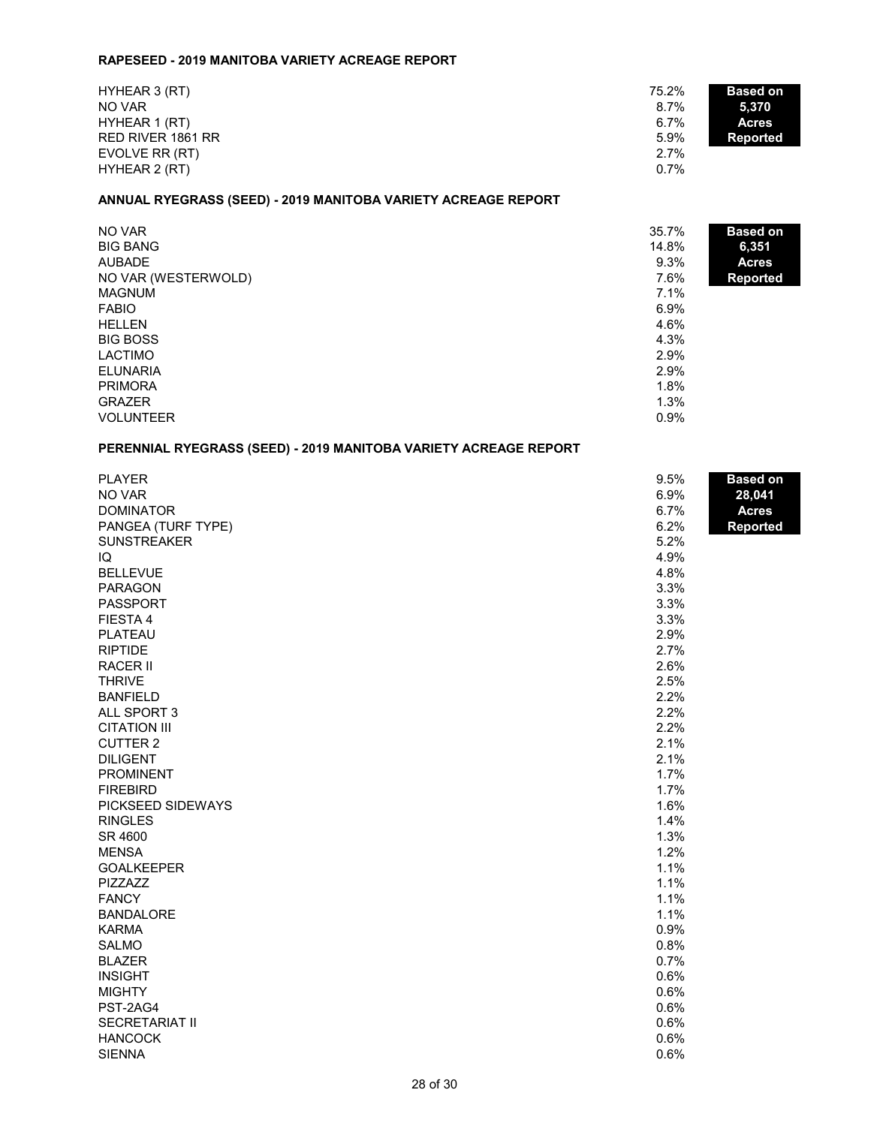#### **RAPESEED - 2019 MANITOBA VARIETY ACREAGE REPORT**

|  | HYHEAR 3 (RT)<br>NO VAR<br>HYHEAR 1 (RT)<br>RED RIVER 1861 RR<br>EVOLVE RR (RT)<br>HYHEAR 2 (RT) | 75.2%<br>8.7%<br>6.7%<br>5.9%<br>2.7%<br>0.7% | <b>Based on</b><br>5,370<br><b>Acres</b><br>Reported |
|--|--------------------------------------------------------------------------------------------------|-----------------------------------------------|------------------------------------------------------|
|--|--------------------------------------------------------------------------------------------------|-----------------------------------------------|------------------------------------------------------|

## **ANNUAL RYEGRASS (SEED) - 2019 MANITOBA VARIETY ACREAGE REPORT**

| NO VAR<br><b>BIG BANG</b> | 35.7%<br>14.8% | <b>Based on</b>       |
|---------------------------|----------------|-----------------------|
| <b>AUBADE</b>             | 9.3%           | 6,351<br><b>Acres</b> |
| NO VAR (WESTERWOLD)       | 7.6%           | <b>Reported</b>       |
| <b>MAGNUM</b>             | 7.1%           |                       |
| <b>FABIO</b>              | 6.9%           |                       |
| <b>HELLEN</b>             | 4.6%           |                       |
| <b>BIG BOSS</b>           | 4.3%           |                       |
| <b>LACTIMO</b>            | 2.9%           |                       |
| <b>ELUNARIA</b>           | 2.9%           |                       |
| <b>PRIMORA</b>            | 1.8%           |                       |
| <b>GRAZER</b>             | 1.3%           |                       |
| <b>VOLUNTEER</b>          | 0.9%           |                       |

## **PERENNIAL RYEGRASS (SEED) - 2019 MANITOBA VARIETY ACREAGE REPORT**

| <b>PLAYER</b>         | 9.5% | <b>Based on</b> |
|-----------------------|------|-----------------|
| NO VAR                | 6.9% | 28,041          |
| <b>DOMINATOR</b>      | 6.7% | <b>Acres</b>    |
| PANGEA (TURF TYPE)    | 6.2% | Reported        |
| <b>SUNSTREAKER</b>    | 5.2% |                 |
| IQ                    | 4.9% |                 |
| <b>BELLEVUE</b>       | 4.8% |                 |
| <b>PARAGON</b>        | 3.3% |                 |
| PASSPORT              | 3.3% |                 |
| FIESTA 4              | 3.3% |                 |
| PLATEAU               | 2.9% |                 |
| <b>RIPTIDE</b>        | 2.7% |                 |
| <b>RACER II</b>       | 2.6% |                 |
| <b>THRIVE</b>         | 2.5% |                 |
| <b>BANFIELD</b>       | 2.2% |                 |
| ALL SPORT 3           | 2.2% |                 |
| <b>CITATION III</b>   | 2.2% |                 |
| <b>CUTTER 2</b>       | 2.1% |                 |
| <b>DILIGENT</b>       | 2.1% |                 |
| <b>PROMINENT</b>      | 1.7% |                 |
| <b>FIREBIRD</b>       | 1.7% |                 |
| PICKSEED SIDEWAYS     | 1.6% |                 |
| <b>RINGLES</b>        | 1.4% |                 |
| SR 4600               | 1.3% |                 |
| <b>MENSA</b>          | 1.2% |                 |
| <b>GOALKEEPER</b>     | 1.1% |                 |
| PIZZAZZ               | 1.1% |                 |
| <b>FANCY</b>          | 1.1% |                 |
| <b>BANDALORE</b>      | 1.1% |                 |
| <b>KARMA</b>          | 0.9% |                 |
| <b>SALMO</b>          | 0.8% |                 |
| <b>BLAZER</b>         | 0.7% |                 |
| <b>INSIGHT</b>        | 0.6% |                 |
| <b>MIGHTY</b>         | 0.6% |                 |
| PST-2AG4              | 0.6% |                 |
| <b>SECRETARIAT II</b> | 0.6% |                 |
| <b>HANCOCK</b>        | 0.6% |                 |
| <b>SIENNA</b>         | 0.6% |                 |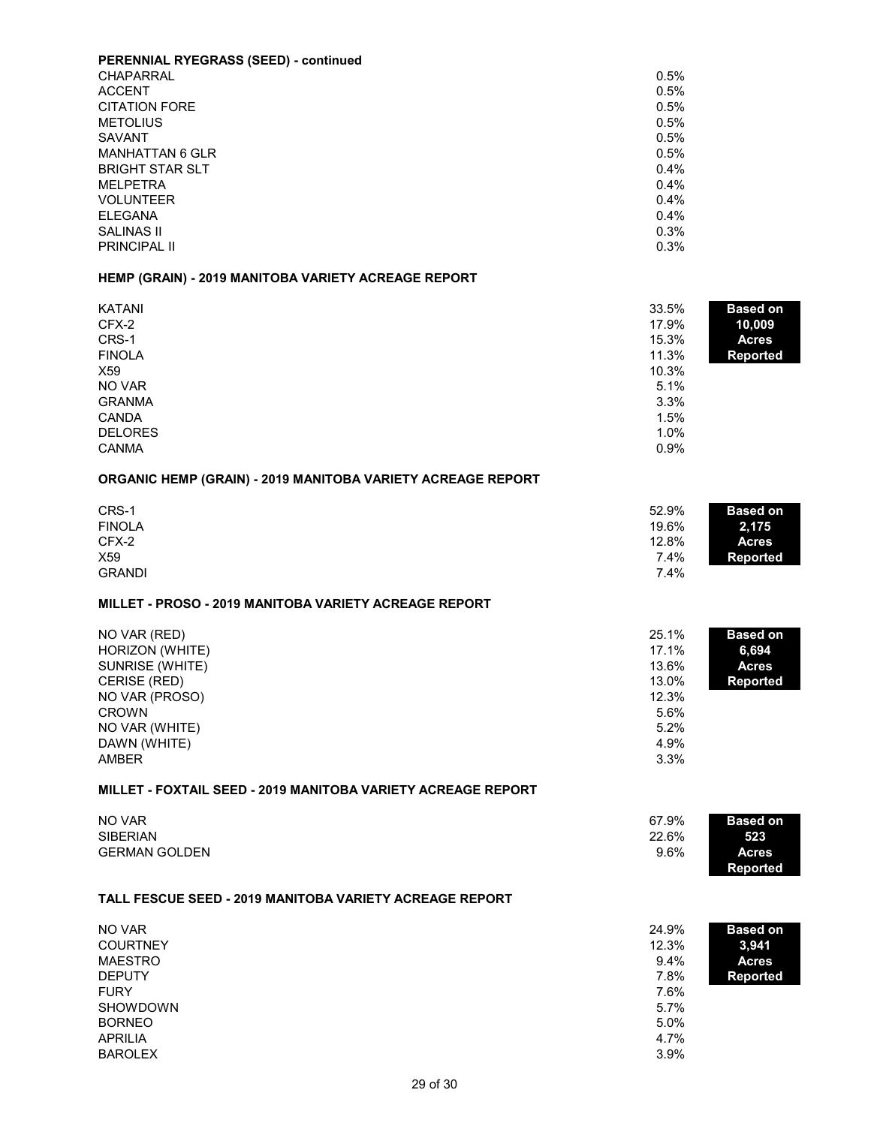| <b>PERENNIAL RYEGRASS (SEED) - continued</b> |      |
|----------------------------------------------|------|
| CHAPARRAL                                    | 0.5% |
| <b>ACCENT</b>                                | 0.5% |
| <b>CITATION FORE</b>                         | 0.5% |
| <b>METOLIUS</b>                              | 0.5% |
| SAVANT                                       | 0.5% |
| <b>MANHATTAN 6 GLR</b>                       | 0.5% |
| <b>BRIGHT STAR SLT</b>                       | 0.4% |
| <b>MELPETRA</b>                              | 0.4% |
| <b>VOLUNTEER</b>                             | 0.4% |
| <b>ELEGANA</b>                               | 0.4% |
| <b>SALINAS II</b>                            | 0.3% |
| <b>PRINCIPAL II</b>                          | 0.3% |

# **HEMP (GRAIN) - 2019 MANITOBA VARIETY ACREAGE REPORT**

| <b>KATANI</b><br>CFX-2<br>CRS-1<br><b>FINOLA</b><br>X <sub>59</sub><br>NO VAR<br><b>GRANMA</b><br><b>CANDA</b><br><b>DELORES</b><br><b>CANMA</b>       | 33.5%<br>17.9%<br>15.3%<br>11.3%<br>10.3%<br>5.1%<br>3.3%<br>1.5%<br>1.0%<br>0.9% | <b>Based on</b><br>10,009<br><b>Acres</b><br><b>Reported</b> |
|--------------------------------------------------------------------------------------------------------------------------------------------------------|-----------------------------------------------------------------------------------|--------------------------------------------------------------|
| ORGANIC HEMP (GRAIN) - 2019 MANITOBA VARIETY ACREAGE REPORT                                                                                            |                                                                                   |                                                              |
| CRS-1<br><b>FINOLA</b><br>CFX-2<br>X59<br><b>GRANDI</b>                                                                                                | 52.9%<br>19.6%<br>12.8%<br>7.4%<br>7.4%                                           | <b>Based on</b><br>2,175<br><b>Acres</b><br><b>Reported</b>  |
| MILLET - PROSO - 2019 MANITOBA VARIETY ACREAGE REPORT                                                                                                  |                                                                                   |                                                              |
| NO VAR (RED)<br>HORIZON (WHITE)<br>SUNRISE (WHITE)<br>CERISE (RED)<br>NO VAR (PROSO)<br><b>CROWN</b><br>NO VAR (WHITE)<br>DAWN (WHITE)<br><b>AMBER</b> | 25.1%<br>17.1%<br>13.6%<br>13.0%<br>12.3%<br>5.6%<br>5.2%<br>4.9%<br>3.3%         | <b>Based on</b><br>6,694<br><b>Acres</b><br><b>Reported</b>  |
| MILLET - FOXTAIL SEED - 2019 MANITOBA VARIETY ACREAGE REPORT                                                                                           |                                                                                   |                                                              |
| NO VAR<br><b>SIBERIAN</b><br><b>GERMAN GOLDEN</b>                                                                                                      | 67.9%<br>22.6%<br>9.6%                                                            | <b>Based on</b><br>523<br><b>Acres</b><br><b>Reported</b>    |
| <b>TALL FESCUE SEED - 2019 MANITOBA VARIETY ACREAGE REPORT</b>                                                                                         |                                                                                   |                                                              |
| <b>NO VAR</b><br><b>COURTNEY</b><br><b>MAESTRO</b><br><b>DEPUTY</b><br><b>FURY</b><br><b>SHOWDOWN</b><br><b>BORNEO</b>                                 | 24.9%<br>12.3%<br>9.4%<br>7.8%<br>7.6%<br>5.7%<br>5.0%                            | <b>Based on</b><br>3,941<br><b>Acres</b><br><b>Reported</b>  |

 $\Delta$ PRILIA  $4.7\%$ BAROLEX 3.9%